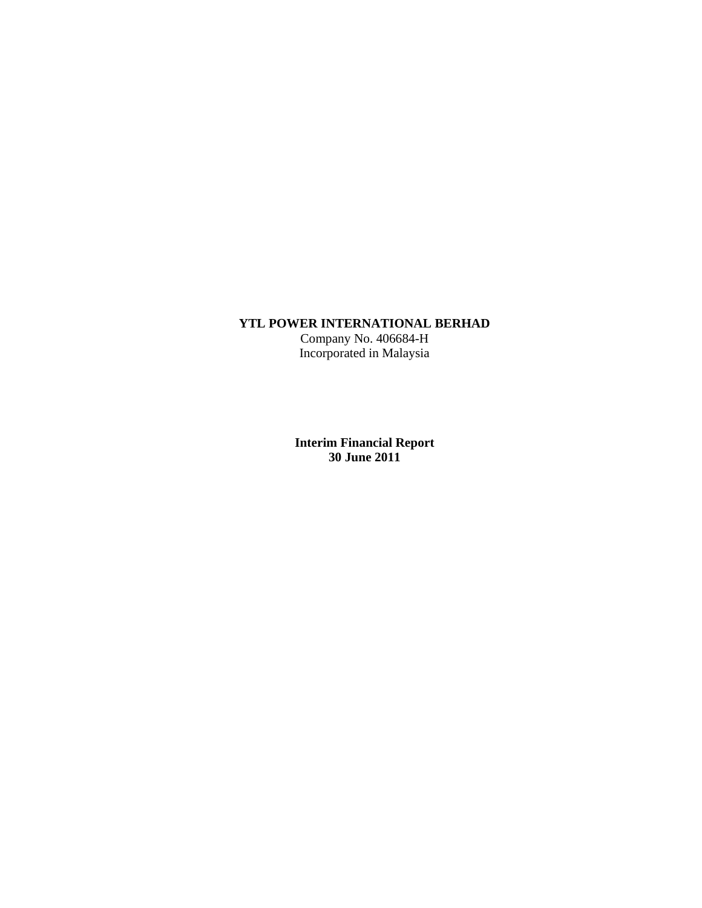# **YTL POWER INTERNATIONAL BERHAD**

Company No. 406684-H Incorporated in Malaysia

**Interim Financial Report 30 June 2011**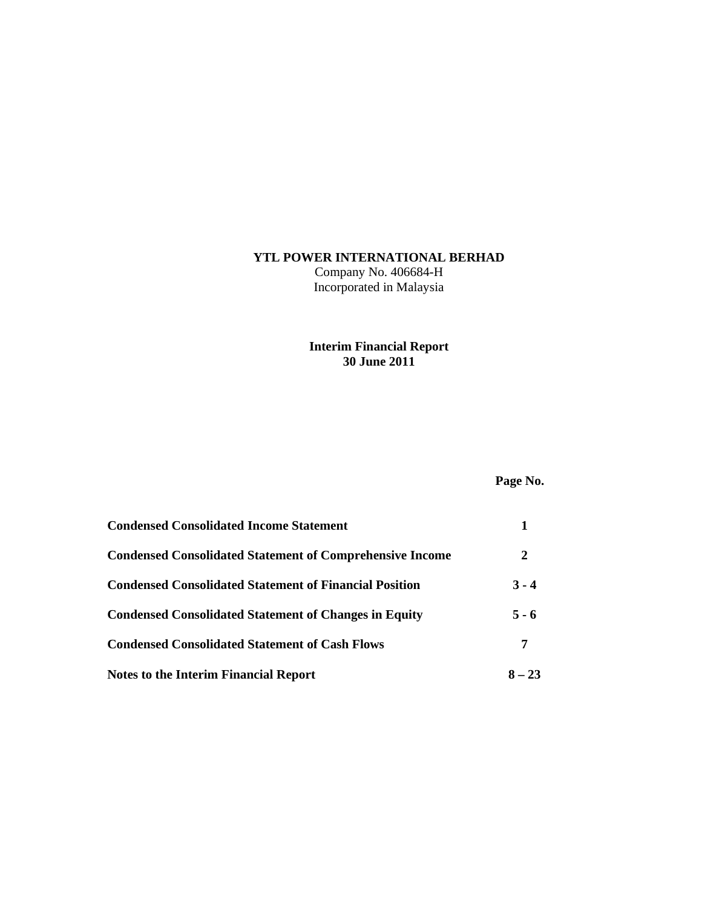# **YTL POWER INTERNATIONAL BERHAD**

Company No. 406684-H Incorporated in Malaysia

### **Interim Financial Report 30 June 2011**

# **Page No.**

| <b>Condensed Consolidated Income Statement</b>                  |          |
|-----------------------------------------------------------------|----------|
| <b>Condensed Consolidated Statement of Comprehensive Income</b> | 2        |
| <b>Condensed Consolidated Statement of Financial Position</b>   | $3 - 4$  |
| <b>Condensed Consolidated Statement of Changes in Equity</b>    | $5 - 6$  |
| <b>Condensed Consolidated Statement of Cash Flows</b>           | 7        |
| Notes to the Interim Financial Report                           | $8 - 23$ |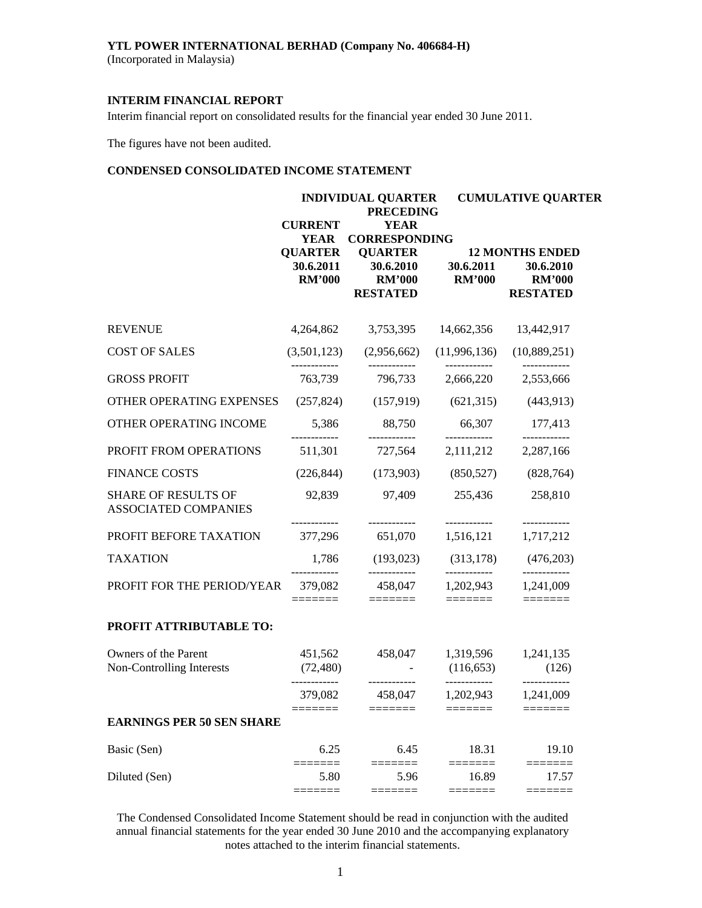### **YTL POWER INTERNATIONAL BERHAD (Company No. 406684-H)**

(Incorporated in Malaysia)

### **INTERIM FINANCIAL REPORT**

Interim financial report on consolidated results for the financial year ended 30 June 2011.

The figures have not been audited.

### **CONDENSED CONSOLIDATED INCOME STATEMENT**

|                                                           |                                              | <b>INDIVIDUAL QUARTER</b><br><b>PRECEDING</b>                   |                                         | <b>CUMULATIVE QUARTER</b>                                               |  |  |
|-----------------------------------------------------------|----------------------------------------------|-----------------------------------------------------------------|-----------------------------------------|-------------------------------------------------------------------------|--|--|
|                                                           | <b>CURRENT</b><br><b>YEAR</b>                | <b>YEAR</b><br><b>CORRESPONDING</b>                             |                                         |                                                                         |  |  |
|                                                           | <b>QUARTER</b><br>30.6.2011<br><b>RM'000</b> | <b>QUARTER</b><br>30.6.2010<br><b>RM'000</b><br><b>RESTATED</b> | 30.6.2011<br><b>RM'000</b>              | <b>12 MONTHS ENDED</b><br>30.6.2010<br><b>RM'000</b><br><b>RESTATED</b> |  |  |
| <b>REVENUE</b>                                            | 4,264,862                                    | 3,753,395                                                       | 14,662,356                              | 13,442,917                                                              |  |  |
| <b>COST OF SALES</b>                                      | (3,501,123)                                  | (2,956,662)                                                     | (11,996,136)                            | (10,889,251)                                                            |  |  |
| <b>GROSS PROFIT</b>                                       | 763,739                                      | 796,733                                                         | 2,666,220                               | 2,553,666                                                               |  |  |
| OTHER OPERATING EXPENSES                                  | (257, 824)                                   | (157,919)                                                       | (621, 315)                              | (443,913)                                                               |  |  |
| OTHER OPERATING INCOME                                    | 5,386                                        | 88,750                                                          | 66,307                                  | 177,413<br>------------                                                 |  |  |
| PROFIT FROM OPERATIONS                                    | 511,301                                      | 727,564                                                         | 2,111,212                               | 2,287,166                                                               |  |  |
| <b>FINANCE COSTS</b>                                      | (226, 844)                                   | (173,903)                                                       | (850, 527)                              | (828, 764)                                                              |  |  |
| <b>SHARE OF RESULTS OF</b><br><b>ASSOCIATED COMPANIES</b> | 92,839                                       | 97,409                                                          | 255,436<br>------------                 | 258,810<br>------------                                                 |  |  |
| PROFIT BEFORE TAXATION                                    | ------------<br>377,296                      | ------------<br>651,070                                         | 1,516,121                               | 1,717,212                                                               |  |  |
| <b>TAXATION</b>                                           | 1,786                                        | (193, 023)                                                      | (313, 178)                              | (476,203)                                                               |  |  |
| PROFIT FOR THE PERIOD/YEAR                                | 379,082                                      | 458,047                                                         | 1,202,943                               | 1,241,009                                                               |  |  |
| PROFIT ATTRIBUTABLE TO:                                   |                                              |                                                                 |                                         |                                                                         |  |  |
| Owners of the Parent<br>Non-Controlling Interests         | 451,562<br>(72, 480)                         | 458,047                                                         | 1,319,596<br>(116, 653)<br>------------ | 1,241,135<br>(126)                                                      |  |  |
|                                                           | 379,082                                      | 458,047                                                         | 1,202,943                               | 1,241,009                                                               |  |  |
| <b>EARNINGS PER 50 SEN SHARE</b>                          |                                              |                                                                 |                                         |                                                                         |  |  |
| Basic (Sen)                                               | 6.25                                         | 6.45                                                            | 18.31                                   | 19.10                                                                   |  |  |
| Diluted (Sen)                                             | 5.80                                         | 5.96                                                            | 16.89                                   | 17.57                                                                   |  |  |

The Condensed Consolidated Income Statement should be read in conjunction with the audited annual financial statements for the year ended 30 June 2010 and the accompanying explanatory notes attached to the interim financial statements.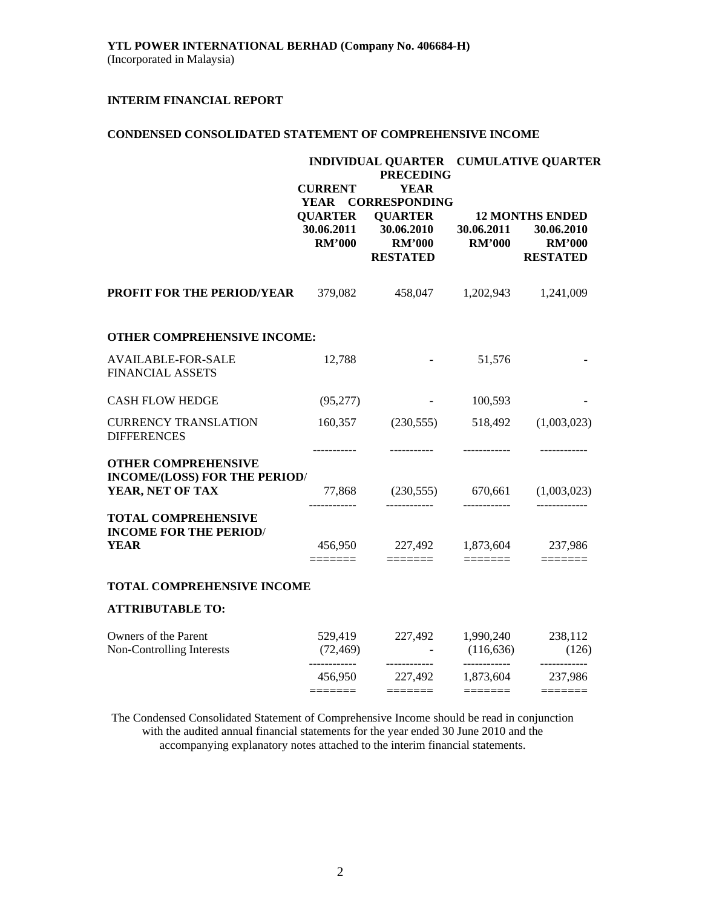### **CONDENSED CONSOLIDATED STATEMENT OF COMPREHENSIVE INCOME**

|                                                                                 | <b>CURRENT</b><br>YEAR                             | <b>PRECEDING</b><br><b>YEAR</b><br><b>CORRESPONDING</b>                                                                                                                                                                                                                                                                                                                                                                                                                                     | INDIVIDUAL QUARTER CUMULATIVE QUARTER                                                                                                                                                                                                                                                                                                                                                                                                                                        |                                                                          |  |  |
|---------------------------------------------------------------------------------|----------------------------------------------------|---------------------------------------------------------------------------------------------------------------------------------------------------------------------------------------------------------------------------------------------------------------------------------------------------------------------------------------------------------------------------------------------------------------------------------------------------------------------------------------------|------------------------------------------------------------------------------------------------------------------------------------------------------------------------------------------------------------------------------------------------------------------------------------------------------------------------------------------------------------------------------------------------------------------------------------------------------------------------------|--------------------------------------------------------------------------|--|--|
|                                                                                 | <b>QUARTER</b><br>30.06.2011<br><b>RM'000</b>      | <b>QUARTER</b><br>30.06.2010<br><b>RM'000</b><br><b>RESTATED</b>                                                                                                                                                                                                                                                                                                                                                                                                                            | 30.06.2011<br><b>RM'000</b>                                                                                                                                                                                                                                                                                                                                                                                                                                                  | <b>12 MONTHS ENDED</b><br>30.06.2010<br><b>RM'000</b><br><b>RESTATED</b> |  |  |
| PROFIT FOR THE PERIOD/YEAR                                                      | 379,082                                            | 458,047                                                                                                                                                                                                                                                                                                                                                                                                                                                                                     | 1,202,943                                                                                                                                                                                                                                                                                                                                                                                                                                                                    | 1,241,009                                                                |  |  |
| OTHER COMPREHENSIVE INCOME:                                                     |                                                    |                                                                                                                                                                                                                                                                                                                                                                                                                                                                                             |                                                                                                                                                                                                                                                                                                                                                                                                                                                                              |                                                                          |  |  |
| <b>AVAILABLE-FOR-SALE</b><br><b>FINANCIAL ASSETS</b>                            | 12,788                                             |                                                                                                                                                                                                                                                                                                                                                                                                                                                                                             | 51,576                                                                                                                                                                                                                                                                                                                                                                                                                                                                       |                                                                          |  |  |
| <b>CASH FLOW HEDGE</b>                                                          | (95, 277)                                          | and the state of the state                                                                                                                                                                                                                                                                                                                                                                                                                                                                  | 100,593                                                                                                                                                                                                                                                                                                                                                                                                                                                                      |                                                                          |  |  |
| <b>CURRENCY TRANSLATION</b><br><b>DIFFERENCES</b>                               | 160,357                                            | (230, 555)                                                                                                                                                                                                                                                                                                                                                                                                                                                                                  | 518,492                                                                                                                                                                                                                                                                                                                                                                                                                                                                      | (1,003,023)                                                              |  |  |
| <b>OTHER COMPREHENSIVE</b><br>INCOME/(LOSS) FOR THE PERIOD/<br>YEAR, NET OF TAX | -----------                                        | 77,868 (230,555) 670,661 (1,003,023)                                                                                                                                                                                                                                                                                                                                                                                                                                                        |                                                                                                                                                                                                                                                                                                                                                                                                                                                                              | ------------                                                             |  |  |
| <b>TOTAL COMPREHENSIVE</b><br><b>INCOME FOR THE PERIOD/</b><br><b>YEAR</b>      | ------------<br>456,950<br>$=$ $=$ $=$ $=$ $=$ $=$ | -------------<br>227,492<br>$\begin{tabular}{ll} \multicolumn{3}{l}{{\color{blue}\textbf{1}}}\\[-2.0mm]{\color{blue}\textbf{2}}\\[-2.0mm]{\color{blue}\textbf{2}}\\[-2.0mm]{\color{blue}\textbf{3}}\\[-2.0mm]{\color{blue}\textbf{4}}\\[-2.0mm]{\color{blue}\textbf{4}}\\[-2.0mm]{\color{blue}\textbf{4}}\\[-2.0mm]{\color{blue}\textbf{4}}\\[-2.0mm]{\color{blue}\textbf{4}}\\[-2.0mm]{\color{blue}\textbf{4}}\\[-2.0mm]{\color{blue}\textbf{4}}\\[-2.0mm]{\color{blue}\textbf{4}}\\[-2.0$ | ------------<br>1,873,604                                                                                                                                                                                                                                                                                                                                                                                                                                                    | 237,986                                                                  |  |  |
| <b>TOTAL COMPREHENSIVE INCOME</b>                                               |                                                    |                                                                                                                                                                                                                                                                                                                                                                                                                                                                                             |                                                                                                                                                                                                                                                                                                                                                                                                                                                                              |                                                                          |  |  |
| <b>ATTRIBUTABLE TO:</b>                                                         |                                                    |                                                                                                                                                                                                                                                                                                                                                                                                                                                                                             |                                                                                                                                                                                                                                                                                                                                                                                                                                                                              |                                                                          |  |  |
| Owners of the Parent<br>Non-Controlling Interests                               | 529,419<br>(72, 469)<br>------------               | 227,492<br>------------                                                                                                                                                                                                                                                                                                                                                                                                                                                                     | 1,990,240<br>(116, 636)<br>------------                                                                                                                                                                                                                                                                                                                                                                                                                                      | 238,112<br>(126)<br>------------                                         |  |  |
|                                                                                 | 456,950<br>$=$ $=$ $=$ $=$ $=$ $=$                 | 227,492                                                                                                                                                                                                                                                                                                                                                                                                                                                                                     | 1,873,604<br>$\begin{tabular}{ll} \multicolumn{2}{l}{{\color{blue}\textbf{1}}}\\[-2.0mm]{\color{blue}\textbf{2}}\\[-2.0mm]{\color{blue}\textbf{2}}\\[-2.0mm]{\color{blue}\textbf{3}}\\[-2.0mm]{\color{blue}\textbf{4}}\\[-2.0mm]{\color{blue}\textbf{4}}\\[-2.0mm]{\color{blue}\textbf{4}}\\[-2.0mm]{\color{blue}\textbf{4}}\\[-2.0mm]{\color{blue}\textbf{4}}\\[-2.0mm]{\color{blue}\textbf{4}}\\[-2.0mm]{\color{blue}\textbf{4}}\\[-2.0mm]{\color{blue}\textbf{4}}\\[-2.0$ | 237,986                                                                  |  |  |

The Condensed Consolidated Statement of Comprehensive Income should be read in conjunction with the audited annual financial statements for the year ended 30 June 2010 and the accompanying explanatory notes attached to the interim financial statements.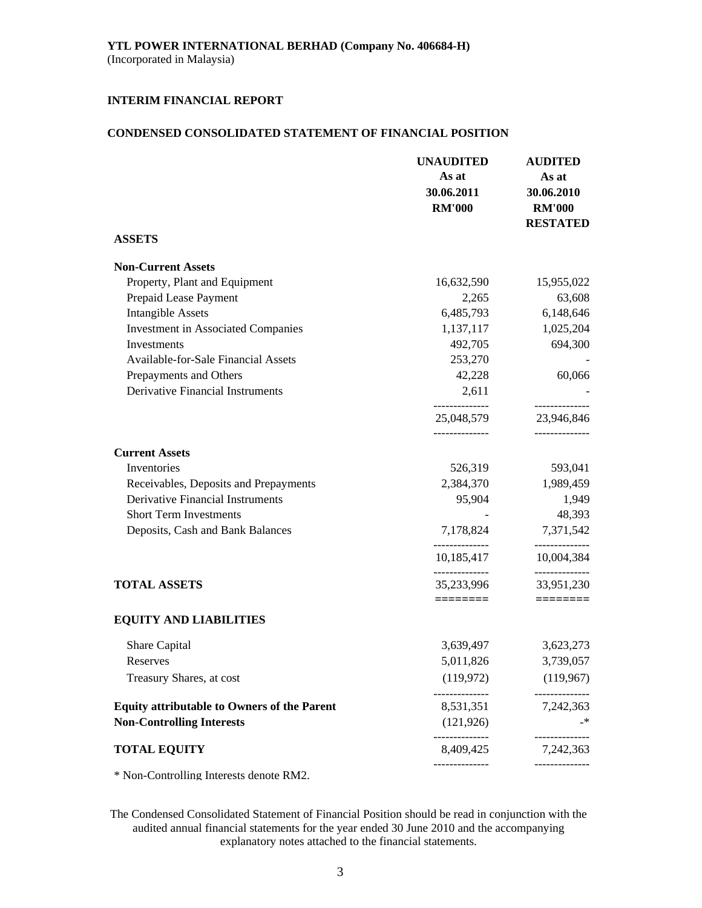### **CONDENSED CONSOLIDATED STATEMENT OF FINANCIAL POSITION**

|                                                    | <b>UNAUDITED</b><br>As at<br>30.06.2011<br><b>RM'000</b> | <b>AUDITED</b><br>As at<br>30.06.2010<br><b>RM'000</b><br><b>RESTATED</b> |
|----------------------------------------------------|----------------------------------------------------------|---------------------------------------------------------------------------|
| <b>ASSETS</b>                                      |                                                          |                                                                           |
| <b>Non-Current Assets</b>                          |                                                          |                                                                           |
| Property, Plant and Equipment                      | 16,632,590                                               | 15,955,022                                                                |
| Prepaid Lease Payment                              | 2,265                                                    | 63,608                                                                    |
| <b>Intangible Assets</b>                           | 6,485,793                                                | 6,148,646                                                                 |
| <b>Investment in Associated Companies</b>          | 1,137,117                                                | 1,025,204                                                                 |
| Investments                                        | 492,705                                                  | 694,300                                                                   |
| <b>Available-for-Sale Financial Assets</b>         | 253,270                                                  |                                                                           |
| Prepayments and Others                             | 42,228                                                   | 60,066                                                                    |
| <b>Derivative Financial Instruments</b>            | 2,611                                                    |                                                                           |
|                                                    | 25,048,579                                               | ------------<br>23,946,846                                                |
|                                                    |                                                          |                                                                           |
| <b>Current Assets</b>                              |                                                          |                                                                           |
| Inventories                                        | 526,319                                                  | 593,041                                                                   |
| Receivables, Deposits and Prepayments              | 2,384,370                                                | 1,989,459                                                                 |
| <b>Derivative Financial Instruments</b>            | 95,904                                                   | 1,949                                                                     |
| <b>Short Term Investments</b>                      |                                                          | 48,393                                                                    |
| Deposits, Cash and Bank Balances                   | 7,178,824                                                | 7,371,542                                                                 |
|                                                    | 10,185,417                                               | ------------<br>10,004,384                                                |
| <b>TOTAL ASSETS</b>                                | 35,233,996                                               | ------------<br>33,951,230                                                |
|                                                    | ========                                                 | $\equiv \equiv \equiv \equiv \equiv \equiv \equiv \equiv$                 |
| <b>EQUITY AND LIABILITIES</b>                      |                                                          |                                                                           |
| Share Capital                                      | 3,639,497                                                | 3,623,273                                                                 |
| Reserves                                           | 5,011,826                                                | 3,739,057                                                                 |
| Treasury Shares, at cost                           | (119,972)                                                | (119,967)                                                                 |
| <b>Equity attributable to Owners of the Parent</b> | 8,531,351                                                | 7,242,363                                                                 |
| <b>Non-Controlling Interests</b>                   | (121, 926)                                               | –*                                                                        |
| <b>TOTAL EQUITY</b>                                | 8,409,425                                                | 7,242,363                                                                 |
| * Non-Controlling Interests denote RM2.            |                                                          |                                                                           |

The Condensed Consolidated Statement of Financial Position should be read in conjunction with the audited annual financial statements for the year ended 30 June 2010 and the accompanying explanatory notes attached to the financial statements.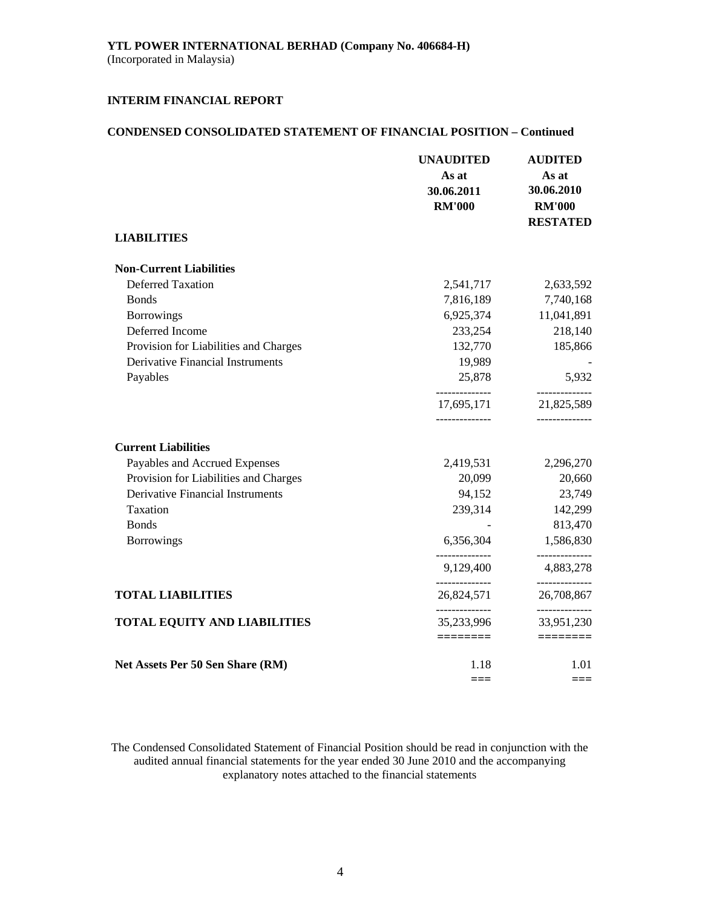### **CONDENSED CONSOLIDATED STATEMENT OF FINANCIAL POSITION – Continued**

|                                         | <b>UNAUDITED</b>                               | <b>AUDITED</b>                              |
|-----------------------------------------|------------------------------------------------|---------------------------------------------|
|                                         | As at                                          | As at                                       |
|                                         | 30.06.2011                                     | 30.06.2010                                  |
|                                         | <b>RM'000</b>                                  | <b>RM'000</b>                               |
|                                         |                                                | <b>RESTATED</b>                             |
| <b>LIABILITIES</b>                      |                                                |                                             |
| <b>Non-Current Liabilities</b>          |                                                |                                             |
| <b>Deferred Taxation</b>                | 2,541,717                                      | 2,633,592                                   |
| <b>Bonds</b>                            | 7,816,189                                      | 7,740,168                                   |
| <b>Borrowings</b>                       | 6,925,374                                      | 11,041,891                                  |
| Deferred Income                         | 233,254                                        | 218,140                                     |
| Provision for Liabilities and Charges   | 132,770                                        | 185,866                                     |
| Derivative Financial Instruments        | 19,989                                         |                                             |
| Payables                                | 25,878                                         | 5,932                                       |
|                                         | --------------<br>17,695,171<br>-------------- | -----------<br>21,825,589<br>-------------- |
| <b>Current Liabilities</b>              |                                                |                                             |
| Payables and Accrued Expenses           | 2,419,531                                      | 2,296,270                                   |
| Provision for Liabilities and Charges   | 20,099                                         | 20,660                                      |
| <b>Derivative Financial Instruments</b> | 94,152                                         | 23,749                                      |
| Taxation                                | 239,314                                        | 142,299                                     |
| <b>Bonds</b>                            |                                                | 813,470                                     |
| <b>Borrowings</b>                       | 6,356,304                                      | 1,586,830                                   |
|                                         | 9,129,400                                      | ------------<br>4,883,278                   |
| <b>TOTAL LIABILITIES</b>                | 26,824,571                                     | ------------<br>26,708,867                  |
| <b>TOTAL EQUITY AND LIABILITIES</b>     | . _ _ _ _ _ _ _ _ _ _ _ _ _<br>35,233,996      | ------------<br>33,951,230                  |
|                                         | ========                                       | ssessess                                    |
| Net Assets Per 50 Sen Share (RM)        | 1.18                                           | 1.01                                        |
|                                         | ===                                            | $==$                                        |

The Condensed Consolidated Statement of Financial Position should be read in conjunction with the audited annual financial statements for the year ended 30 June 2010 and the accompanying explanatory notes attached to the financial statements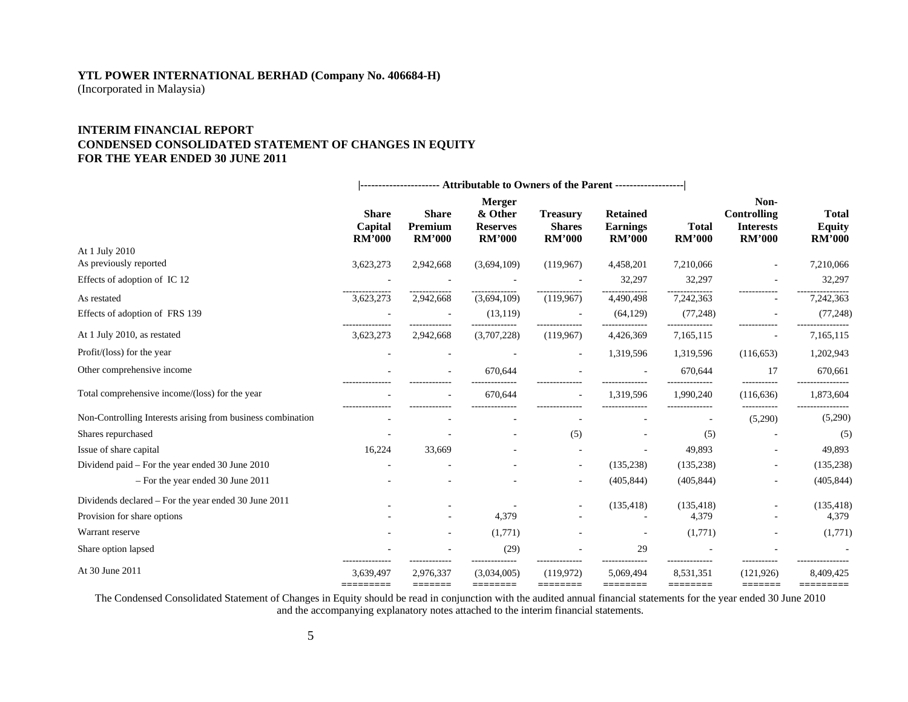# **YTL POWER INTERNATIONAL BERHAD (Company No. 406684-H)**

(Incorporated in Malaysia)

### **INTERIM FINANCIAL REPORTCONDENSED CONSOLIDATED STATEMENT OF CHANGES IN EQUITY FOR THE YEAR ENDED 30 JUNE 2011**

|                                                             | --------------------- Attributable to Owners of the Parent -------------------- |                         |                                             |                                  |                                    |                       |                                         |                               |
|-------------------------------------------------------------|---------------------------------------------------------------------------------|-------------------------|---------------------------------------------|----------------------------------|------------------------------------|-----------------------|-----------------------------------------|-------------------------------|
|                                                             | <b>Share</b><br>Capital                                                         | <b>Share</b><br>Premium | <b>Merger</b><br>& Other<br><b>Reserves</b> | <b>Treasury</b><br><b>Shares</b> | <b>Retained</b><br><b>Earnings</b> | <b>Total</b>          | Non-<br>Controlling<br><b>Interests</b> | <b>Total</b><br><b>Equity</b> |
| At 1 July 2010                                              | <b>RM'000</b>                                                                   | <b>RM'000</b>           | <b>RM'000</b>                               | <b>RM'000</b>                    | <b>RM'000</b>                      | <b>RM'000</b>         | <b>RM'000</b>                           | <b>RM'000</b>                 |
| As previously reported                                      | 3,623,273                                                                       | 2,942,668               | (3,694,109)                                 | (119, 967)                       | 4,458,201                          | 7,210,066             |                                         | 7,210,066                     |
| Effects of adoption of IC 12                                |                                                                                 |                         |                                             |                                  | 32,297                             | 32,297                |                                         | 32,297                        |
| As restated                                                 | 3,623,273                                                                       | 2,942,668               | (3,694,109)                                 | (119,967)                        | 4,490,498                          | 7,242,363             |                                         | 7,242,363                     |
| Effects of adoption of FRS 139                              |                                                                                 |                         | (13, 119)                                   |                                  | (64, 129)                          | (77, 248)             |                                         | (77, 248)                     |
| At 1 July 2010, as restated                                 | 3,623,273                                                                       | 2,942,668               | (3,707,228)                                 | (119, 967)                       | 4,426,369                          | 7,165,115             |                                         | 7,165,115                     |
| Profit/(loss) for the year                                  |                                                                                 |                         |                                             | $\overline{\phantom{a}}$         | 1,319,596                          | 1,319,596             | (116, 653)                              | 1,202,943                     |
| Other comprehensive income                                  |                                                                                 |                         | 670,644                                     |                                  |                                    | 670,644               | 17                                      | 670,661                       |
| Total comprehensive income/(loss) for the year              |                                                                                 |                         | 670,644                                     |                                  | 1,319,596                          | 1,990,240             | (116, 636)                              | 1,873,604                     |
| Non-Controlling Interests arising from business combination |                                                                                 |                         |                                             |                                  |                                    |                       | -----------<br>(5,290)                  | (5,290)                       |
| Shares repurchased                                          |                                                                                 |                         |                                             | (5)                              |                                    | (5)                   |                                         | (5)                           |
| Issue of share capital                                      | 16,224                                                                          | 33,669                  |                                             |                                  |                                    | 49,893                |                                         | 49,893                        |
| Dividend paid – For the year ended 30 June 2010             |                                                                                 |                         |                                             | ÷.                               | (135, 238)                         | (135, 238)            | ٠                                       | (135, 238)                    |
| - For the year ended 30 June 2011                           |                                                                                 |                         |                                             | ٠                                | (405, 844)                         | (405, 844)            |                                         | (405, 844)                    |
| Dividends declared – For the year ended 30 June 2011        |                                                                                 |                         |                                             |                                  | (135, 418)                         | (135, 418)            |                                         | (135, 418)                    |
| Provision for share options                                 |                                                                                 |                         | 4,379                                       |                                  |                                    | 4,379                 |                                         | 4,379                         |
| Warrant reserve                                             |                                                                                 |                         | (1,771)                                     |                                  |                                    | (1,771)               |                                         | (1,771)                       |
| Share option lapsed                                         |                                                                                 |                         | (29)                                        |                                  | 29                                 |                       |                                         |                               |
| At 30 June 2011                                             | 3,639,497<br>=========                                                          | 2,976,337<br>=======    | (3,034,005)<br>========                     | (119,972)<br>========            | 5,069,494<br>========              | 8,531,351<br>======== | (121, 926)<br>=======                   | 8,409,425<br>=========        |

The Condensed Consolidated Statement of Changes in Equity should be read in conjunction with the audited annual financial statements for the year ended 30 June 2010 and the accompanying explanatory notes attached to the interim financial statements.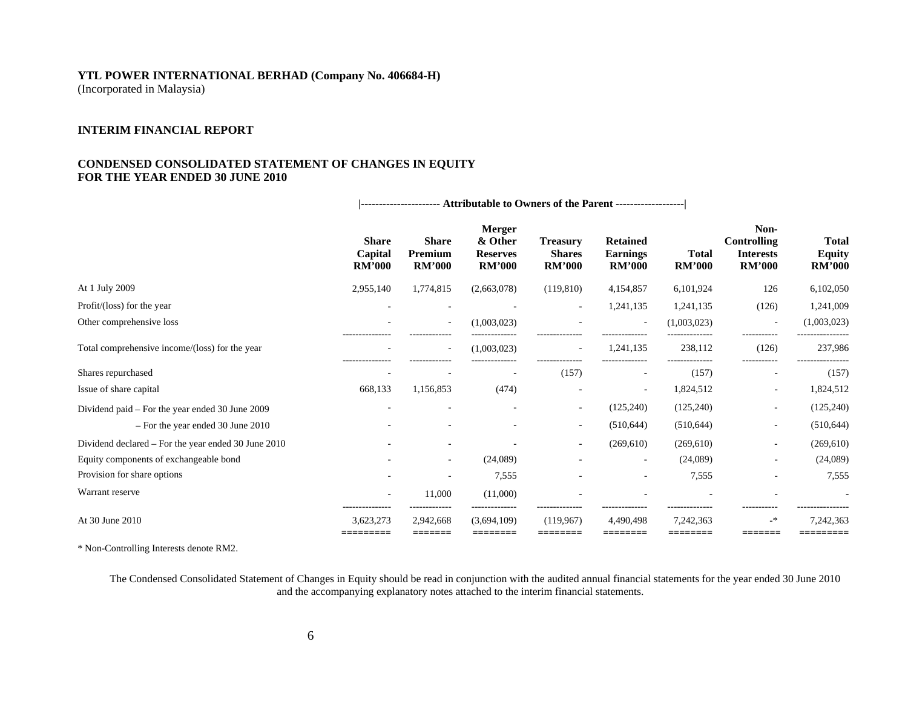# **YTL POWER INTERNATIONAL BERHAD (Company No. 406684-H)**

(Incorporated in Malaysia)

### **INTERIM FINANCIAL REPORT**

### **CONDENSED CONSOLIDATED STATEMENT OF CHANGES IN EQUITY FOR THE YEAR ENDED 30 JUNE 2010**

|                                                     | <b>Share</b><br>Capital<br><b>RM'000</b> | <b>Share</b><br><b>Premium</b><br><b>RM'000</b> | <b>Merger</b><br>& Other<br><b>Reserves</b><br><b>RM'000</b> | <b>Treasury</b><br><b>Shares</b><br><b>RM'000</b> | <b>Retained</b><br><b>Earnings</b><br><b>RM'000</b> | <b>Total</b><br><b>RM'000</b> | Non-<br><b>Controlling</b><br><b>Interests</b><br><b>RM'000</b> | Total<br><b>Equity</b><br><b>RM'000</b> |
|-----------------------------------------------------|------------------------------------------|-------------------------------------------------|--------------------------------------------------------------|---------------------------------------------------|-----------------------------------------------------|-------------------------------|-----------------------------------------------------------------|-----------------------------------------|
| At 1 July 2009                                      | 2,955,140                                | 1,774,815                                       | (2,663,078)                                                  | (119, 810)                                        | 4,154,857                                           | 6,101,924                     | 126                                                             | 6,102,050                               |
| Profit/(loss) for the year                          |                                          |                                                 |                                                              | $\overline{a}$                                    | 1,241,135                                           | 1,241,135                     | (126)                                                           | 1,241,009                               |
| Other comprehensive loss                            |                                          |                                                 | (1,003,023)                                                  |                                                   | $\overline{\phantom{a}}$                            | (1,003,023)                   | $\overline{\phantom{a}}$                                        | (1,003,023)                             |
| Total comprehensive income/(loss) for the year      | ---------------                          | -------------<br>$\overline{\phantom{a}}$       | .<br>(1.003.023)                                             | <br>$\overline{\phantom{a}}$                      | <br>1,241,135                                       | 238,112                       | -----------<br>(126)                                            | 237,986                                 |
| Shares repurchased                                  |                                          |                                                 |                                                              | (157)                                             |                                                     | (157)                         | ------<br>$\overline{\phantom{a}}$                              | (157)                                   |
| Issue of share capital                              | 668,133                                  | 1,156,853                                       | (474)                                                        |                                                   | $\overline{\phantom{a}}$                            | 1,824,512                     | $\overline{\phantom{a}}$                                        | 1,824,512                               |
| Dividend paid – For the year ended 30 June 2009     |                                          |                                                 |                                                              | $\sim$                                            | (125, 240)                                          | (125, 240)                    | $\overline{\phantom{a}}$                                        | (125, 240)                              |
| $-$ For the year ended 30 June 2010                 |                                          |                                                 |                                                              | $\sim$                                            | (510, 644)                                          | (510, 644)                    | $\overline{\phantom{a}}$                                        | (510, 644)                              |
| Dividend declared – For the year ended 30 June 2010 |                                          |                                                 |                                                              | $\sim$                                            | (269,610)                                           | (269,610)                     | $\sim$                                                          | (269, 610)                              |
| Equity components of exchangeable bond              |                                          | $\sim$                                          | (24,089)                                                     |                                                   | ٠                                                   | (24,089)                      | $\overline{\phantom{a}}$                                        | (24,089)                                |
| Provision for share options                         |                                          |                                                 | 7,555                                                        |                                                   |                                                     | 7,555                         | $\overline{\phantom{a}}$                                        | 7,555                                   |
| Warrant reserve                                     |                                          | 11,000                                          | (11,000)                                                     |                                                   |                                                     |                               |                                                                 |                                         |
| At 30 June 2010                                     | 3.623.273                                | 2,942,668<br>=======                            | (3.694.109)                                                  | (119.967)                                         | 4.490.498                                           | 7,242,363                     | $\mathbf{A}^*$                                                  | 7,242,363                               |

 **|---------------------- Attributable to Owners of the Parent -------------------|** 

\* Non-Controlling Interests denote RM2.

The Condensed Consolidated Statement of Changes in Equity should be read in conjunction with the audited annual financial statements for the year ended 30 June 2010 and the accompanying explanatory notes attached to the interim financial statements.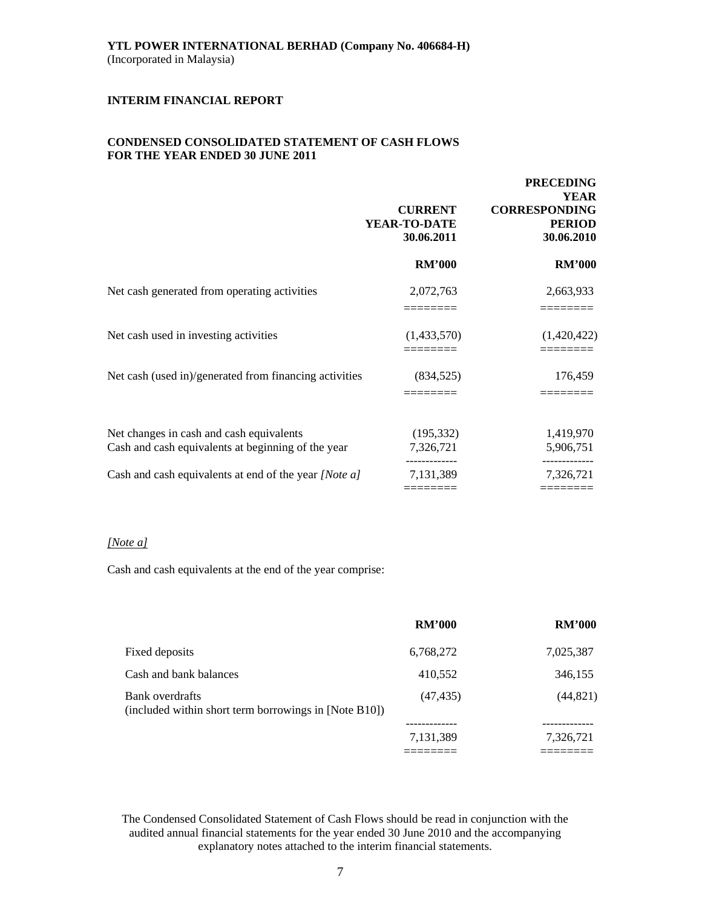### **CONDENSED CONSOLIDATED STATEMENT OF CASH FLOWS FOR THE YEAR ENDED 30 JUNE 2011**

|                                                                                                | <b>CURRENT</b><br>YEAR-TO-DATE<br>30.06.2011 | <b>PRECEDING</b><br><b>YEAR</b><br><b>CORRESPONDING</b><br><b>PERIOD</b><br>30.06.2010 |
|------------------------------------------------------------------------------------------------|----------------------------------------------|----------------------------------------------------------------------------------------|
|                                                                                                | <b>RM'000</b>                                | <b>RM'000</b>                                                                          |
| Net cash generated from operating activities                                                   | 2,072,763                                    | 2,663,933                                                                              |
| Net cash used in investing activities                                                          | (1,433,570)                                  | (1,420,422)                                                                            |
| Net cash (used in)/generated from financing activities                                         | (834, 525)                                   | 176,459                                                                                |
| Net changes in cash and cash equivalents<br>Cash and cash equivalents at beginning of the year | (195, 332)<br>7,326,721                      | 1,419,970<br>5,906,751                                                                 |
| Cash and cash equivalents at end of the year [Note a]                                          | 7,131,389<br>--------                        | 7,326,721<br>كالأكاس كالمتابعة                                                         |

### *[Note a]*

Cash and cash equivalents at the end of the year comprise:

|                                                                          | <b>RM'000</b> | <b>RM'000</b> |
|--------------------------------------------------------------------------|---------------|---------------|
| Fixed deposits                                                           | 6,768,272     | 7,025,387     |
| Cash and bank balances                                                   | 410,552       | 346,155       |
| Bank overdrafts<br>(included within short term borrowings in [Note B10]) | (47, 435)     | (44, 821)     |
|                                                                          | 7,131,389     | 7,326,721     |
|                                                                          |               |               |

The Condensed Consolidated Statement of Cash Flows should be read in conjunction with the audited annual financial statements for the year ended 30 June 2010 and the accompanying explanatory notes attached to the interim financial statements.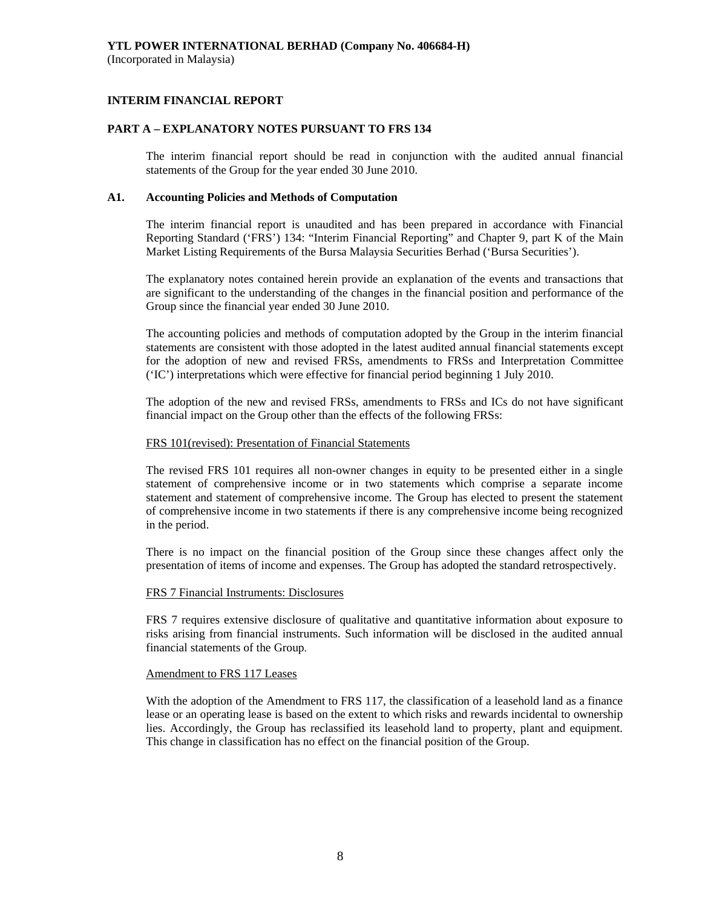### **INTERIM FINANCIAL REPORT**

### **PART A – EXPLANATORY NOTES PURSUANT TO FRS 134**

The interim financial report should be read in conjunction with the audited annual financial statements of the Group for the year ended 30 June 2010.

#### **A1. Accounting Policies and Methods of Computation**

The interim financial report is unaudited and has been prepared in accordance with Financial Reporting Standard ('FRS') 134: "Interim Financial Reporting" and Chapter 9, part K of the Main Market Listing Requirements of the Bursa Malaysia Securities Berhad ('Bursa Securities').

The explanatory notes contained herein provide an explanation of the events and transactions that are significant to the understanding of the changes in the financial position and performance of the Group since the financial year ended 30 June 2010.

The accounting policies and methods of computation adopted by the Group in the interim financial statements are consistent with those adopted in the latest audited annual financial statements except for the adoption of new and revised FRSs, amendments to FRSs and Interpretation Committee ('IC') interpretations which were effective for financial period beginning 1 July 2010.

 The adoption of the new and revised FRSs, amendments to FRSs and ICs do not have significant financial impact on the Group other than the effects of the following FRSs:

#### FRS 101(revised): Presentation of Financial Statements

The revised FRS 101 requires all non-owner changes in equity to be presented either in a single statement of comprehensive income or in two statements which comprise a separate income statement and statement of comprehensive income. The Group has elected to present the statement of comprehensive income in two statements if there is any comprehensive income being recognized in the period.

 There is no impact on the financial position of the Group since these changes affect only the presentation of items of income and expenses. The Group has adopted the standard retrospectively.

#### FRS 7 Financial Instruments: Disclosures

FRS 7 requires extensive disclosure of qualitative and quantitative information about exposure to risks arising from financial instruments. Such information will be disclosed in the audited annual financial statements of the Group.

#### Amendment to FRS 117 Leases

With the adoption of the Amendment to FRS 117, the classification of a leasehold land as a finance lease or an operating lease is based on the extent to which risks and rewards incidental to ownership lies. Accordingly, the Group has reclassified its leasehold land to property, plant and equipment. This change in classification has no effect on the financial position of the Group.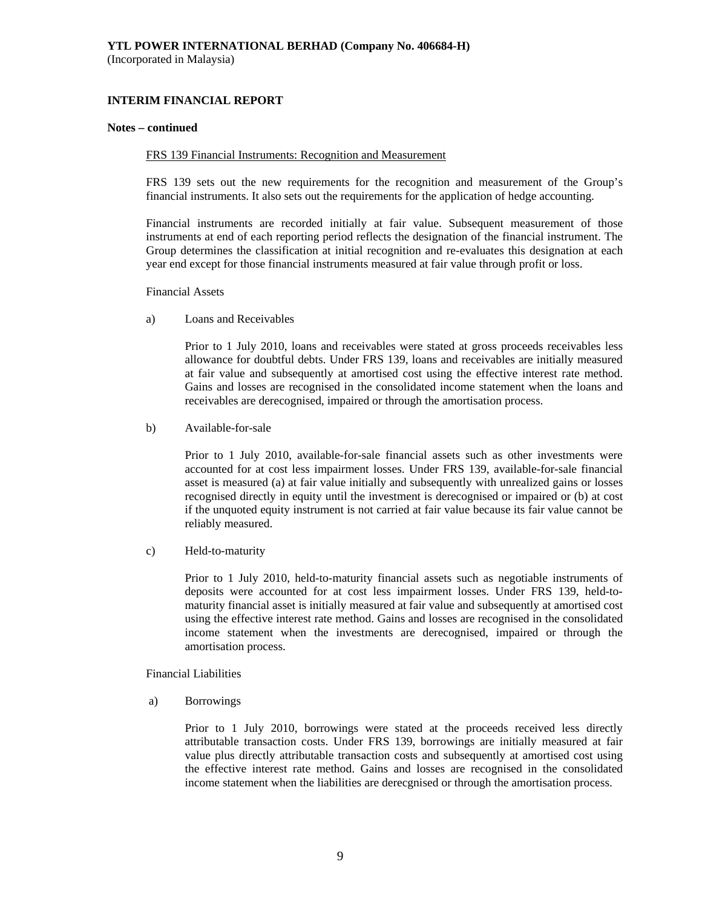### **INTERIM FINANCIAL REPORT**

#### **Notes – continued**

#### FRS 139 Financial Instruments: Recognition and Measurement

FRS 139 sets out the new requirements for the recognition and measurement of the Group's financial instruments. It also sets out the requirements for the application of hedge accounting.

Financial instruments are recorded initially at fair value. Subsequent measurement of those instruments at end of each reporting period reflects the designation of the financial instrument. The Group determines the classification at initial recognition and re-evaluates this designation at each year end except for those financial instruments measured at fair value through profit or loss.

Financial Assets

a) Loans and Receivables

Prior to 1 July 2010, loans and receivables were stated at gross proceeds receivables less allowance for doubtful debts. Under FRS 139, loans and receivables are initially measured at fair value and subsequently at amortised cost using the effective interest rate method. Gains and losses are recognised in the consolidated income statement when the loans and receivables are derecognised, impaired or through the amortisation process.

b) Available-for-sale

Prior to 1 July 2010, available-for-sale financial assets such as other investments were accounted for at cost less impairment losses. Under FRS 139, available-for-sale financial asset is measured (a) at fair value initially and subsequently with unrealized gains or losses recognised directly in equity until the investment is derecognised or impaired or (b) at cost if the unquoted equity instrument is not carried at fair value because its fair value cannot be reliably measured.

c) Held-to-maturity

Prior to 1 July 2010, held-to-maturity financial assets such as negotiable instruments of deposits were accounted for at cost less impairment losses. Under FRS 139, held-tomaturity financial asset is initially measured at fair value and subsequently at amortised cost using the effective interest rate method. Gains and losses are recognised in the consolidated income statement when the investments are derecognised, impaired or through the amortisation process.

Financial Liabilities

a) Borrowings

Prior to 1 July 2010, borrowings were stated at the proceeds received less directly attributable transaction costs. Under FRS 139, borrowings are initially measured at fair value plus directly attributable transaction costs and subsequently at amortised cost using the effective interest rate method. Gains and losses are recognised in the consolidated income statement when the liabilities are derecgnised or through the amortisation process.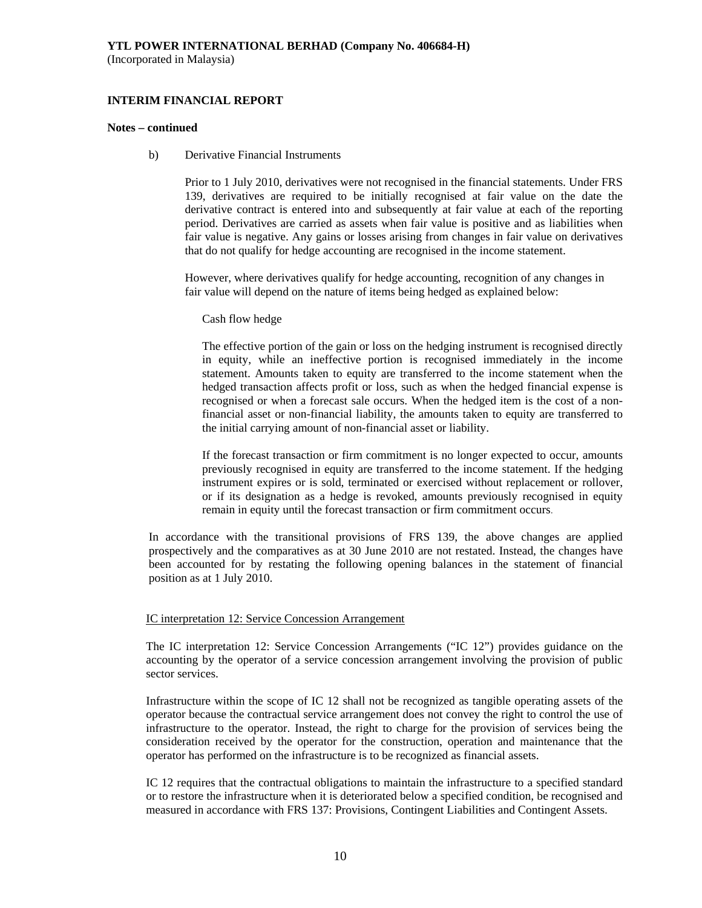### **INTERIM FINANCIAL REPORT**

#### **Notes – continued**

b) Derivative Financial Instruments

Prior to 1 July 2010, derivatives were not recognised in the financial statements. Under FRS 139, derivatives are required to be initially recognised at fair value on the date the derivative contract is entered into and subsequently at fair value at each of the reporting period. Derivatives are carried as assets when fair value is positive and as liabilities when fair value is negative. Any gains or losses arising from changes in fair value on derivatives that do not qualify for hedge accounting are recognised in the income statement.

However, where derivatives qualify for hedge accounting, recognition of any changes in fair value will depend on the nature of items being hedged as explained below:

Cash flow hedge

The effective portion of the gain or loss on the hedging instrument is recognised directly in equity, while an ineffective portion is recognised immediately in the income statement. Amounts taken to equity are transferred to the income statement when the hedged transaction affects profit or loss, such as when the hedged financial expense is recognised or when a forecast sale occurs. When the hedged item is the cost of a nonfinancial asset or non-financial liability, the amounts taken to equity are transferred to the initial carrying amount of non-financial asset or liability.

If the forecast transaction or firm commitment is no longer expected to occur, amounts previously recognised in equity are transferred to the income statement. If the hedging instrument expires or is sold, terminated or exercised without replacement or rollover, or if its designation as a hedge is revoked, amounts previously recognised in equity remain in equity until the forecast transaction or firm commitment occurs.

In accordance with the transitional provisions of FRS 139, the above changes are applied prospectively and the comparatives as at 30 June 2010 are not restated. Instead, the changes have been accounted for by restating the following opening balances in the statement of financial position as at 1 July 2010.

#### IC interpretation 12: Service Concession Arrangement

The IC interpretation 12: Service Concession Arrangements ("IC 12") provides guidance on the accounting by the operator of a service concession arrangement involving the provision of public sector services.

Infrastructure within the scope of IC 12 shall not be recognized as tangible operating assets of the operator because the contractual service arrangement does not convey the right to control the use of infrastructure to the operator. Instead, the right to charge for the provision of services being the consideration received by the operator for the construction, operation and maintenance that the operator has performed on the infrastructure is to be recognized as financial assets.

IC 12 requires that the contractual obligations to maintain the infrastructure to a specified standard or to restore the infrastructure when it is deteriorated below a specified condition, be recognised and measured in accordance with FRS 137: Provisions, Contingent Liabilities and Contingent Assets.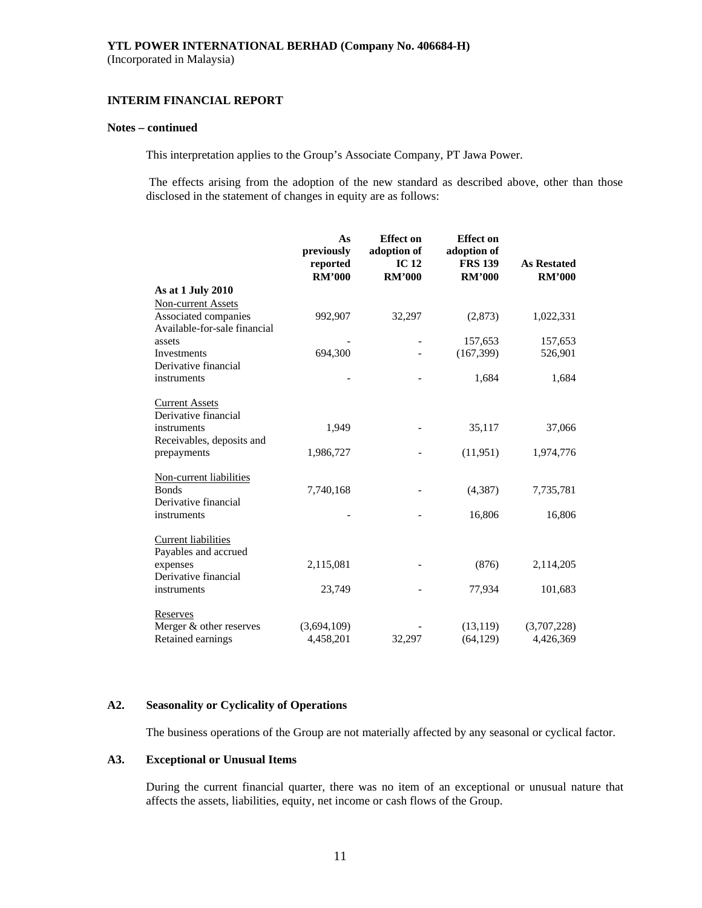#### **INTERIM FINANCIAL REPORT**

#### **Notes – continued**

This interpretation applies to the Group's Associate Company, PT Jawa Power.

 The effects arising from the adoption of the new standard as described above, other than those disclosed in the statement of changes in equity are as follows:

|                              | As<br>previously | <b>Effect on</b><br>adoption of | <b>Effect</b> on<br>adoption of |                    |
|------------------------------|------------------|---------------------------------|---------------------------------|--------------------|
|                              | reported         | IC <sub>12</sub>                | <b>FRS 139</b>                  | <b>As Restated</b> |
|                              | <b>RM'000</b>    | <b>RM'000</b>                   | <b>RM'000</b>                   | <b>RM'000</b>      |
| As at 1 July 2010            |                  |                                 |                                 |                    |
| <b>Non-current Assets</b>    |                  |                                 |                                 |                    |
| Associated companies         | 992,907          | 32,297                          | (2,873)                         | 1,022,331          |
| Available-for-sale financial |                  |                                 |                                 |                    |
| assets                       |                  |                                 | 157,653                         | 157,653            |
| Investments                  | 694,300          |                                 | (167, 399)                      | 526,901            |
| Derivative financial         |                  |                                 |                                 |                    |
| instruments                  |                  |                                 | 1,684                           | 1,684              |
| <b>Current Assets</b>        |                  |                                 |                                 |                    |
| Derivative financial         |                  |                                 |                                 |                    |
| instruments                  | 1,949            |                                 | 35,117                          | 37,066             |
| Receivables, deposits and    |                  |                                 |                                 |                    |
| prepayments                  | 1,986,727        |                                 | (11, 951)                       | 1,974,776          |
| Non-current liabilities      |                  |                                 |                                 |                    |
| <b>Bonds</b>                 | 7,740,168        |                                 | (4, 387)                        | 7,735,781          |
| Derivative financial         |                  |                                 |                                 |                    |
| instruments                  |                  |                                 | 16,806                          | 16,806             |
| <b>Current liabilities</b>   |                  |                                 |                                 |                    |
| Payables and accrued         |                  |                                 |                                 |                    |
| expenses                     | 2,115,081        |                                 | (876)                           | 2,114,205          |
| Derivative financial         |                  |                                 |                                 |                    |
| instruments                  | 23,749           |                                 | 77,934                          | 101,683            |
| Reserves                     |                  |                                 |                                 |                    |
| Merger & other reserves      | (3,694,109)      |                                 | (13, 119)                       | (3,707,228)        |
| Retained earnings            | 4,458,201        | 32,297                          | (64, 129)                       | 4,426,369          |

#### **A2. Seasonality or Cyclicality of Operations**

The business operations of the Group are not materially affected by any seasonal or cyclical factor.

### **A3. Exceptional or Unusual Items**

 During the current financial quarter, there was no item of an exceptional or unusual nature that affects the assets, liabilities, equity, net income or cash flows of the Group.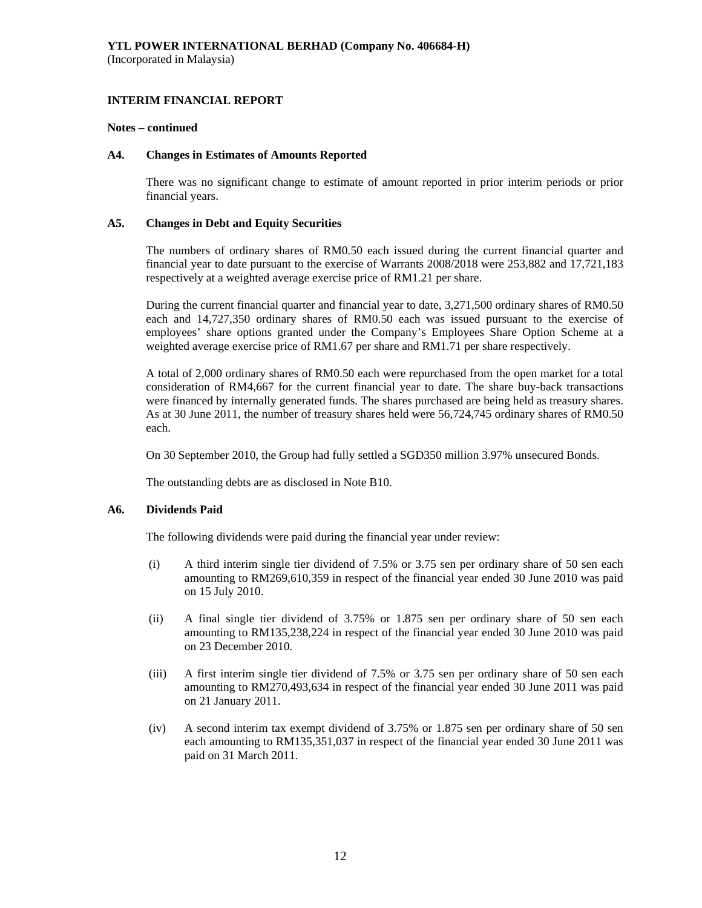#### **Notes – continued**

### **A4. Changes in Estimates of Amounts Reported**

 There was no significant change to estimate of amount reported in prior interim periods or prior financial years.

### **A5. Changes in Debt and Equity Securities**

 The numbers of ordinary shares of RM0.50 each issued during the current financial quarter and financial year to date pursuant to the exercise of Warrants 2008/2018 were 253,882 and 17,721,183 respectively at a weighted average exercise price of RM1.21 per share.

 During the current financial quarter and financial year to date, 3,271,500 ordinary shares of RM0.50 each and 14,727,350 ordinary shares of RM0.50 each was issued pursuant to the exercise of employees' share options granted under the Company's Employees Share Option Scheme at a weighted average exercise price of RM1.67 per share and RM1.71 per share respectively.

 A total of 2,000 ordinary shares of RM0.50 each were repurchased from the open market for a total consideration of RM4,667 for the current financial year to date. The share buy-back transactions were financed by internally generated funds. The shares purchased are being held as treasury shares. As at 30 June 2011, the number of treasury shares held were 56,724,745 ordinary shares of RM0.50 each.

On 30 September 2010, the Group had fully settled a SGD350 million 3.97% unsecured Bonds.

The outstanding debts are as disclosed in Note B10.

#### **A6. Dividends Paid**

The following dividends were paid during the financial year under review:

- (i) A third interim single tier dividend of 7.5% or 3.75 sen per ordinary share of 50 sen each amounting to RM269,610,359 in respect of the financial year ended 30 June 2010 was paid on 15 July 2010.
- (ii) A final single tier dividend of 3.75% or 1.875 sen per ordinary share of 50 sen each amounting to RM135,238,224 in respect of the financial year ended 30 June 2010 was paid on 23 December 2010.
- (iii) A first interim single tier dividend of 7.5% or 3.75 sen per ordinary share of 50 sen each amounting to RM270,493,634 in respect of the financial year ended 30 June 2011 was paid on 21 January 2011.
- (iv) A second interim tax exempt dividend of 3.75% or 1.875 sen per ordinary share of 50 sen each amounting to RM135,351,037 in respect of the financial year ended 30 June 2011 was paid on 31 March 2011.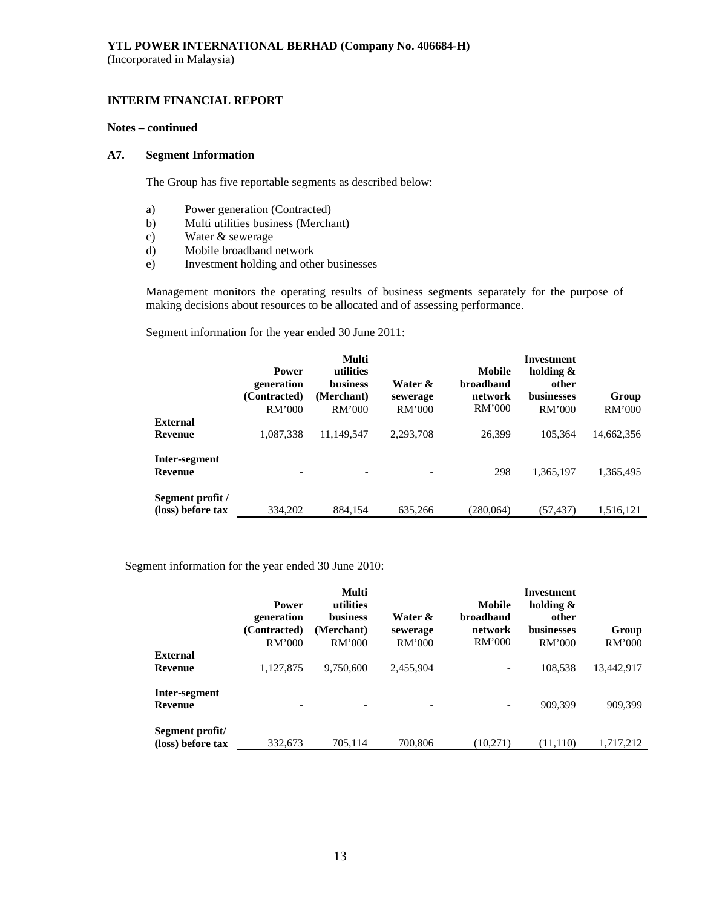### **INTERIM FINANCIAL REPORT**

### **Notes – continued**

#### **A7. Segment Information**

The Group has five reportable segments as described below:

- a) Power generation (Contracted)
- b) Multi utilities business (Merchant)
- c) Water & sewerage
- d) Mobile broadband network
- e) Investment holding and other businesses

 Management monitors the operating results of business segments separately for the purpose of making decisions about resources to be allocated and of assessing performance.

Segment information for the year ended 30 June 2011:

|                                       | <b>Power</b><br>generation<br>(Contracted)<br>RM'000 | Multi<br>utilities<br><b>business</b><br>(Merchant)<br><b>RM'000</b> | Water &<br>sewerage<br>RM'000 | Mobile<br><b>broadband</b><br>network<br><b>RM'000</b> | Investment<br>holding $\&$<br>other<br><b>businesses</b><br>RM'000 | Group<br>RM'000 |
|---------------------------------------|------------------------------------------------------|----------------------------------------------------------------------|-------------------------------|--------------------------------------------------------|--------------------------------------------------------------------|-----------------|
| <b>External</b>                       |                                                      |                                                                      |                               |                                                        |                                                                    |                 |
| Revenue                               | 1,087,338                                            | 11.149.547                                                           | 2,293,708                     | 26,399                                                 | 105.364                                                            | 14,662,356      |
| Inter-segment<br><b>Revenue</b>       |                                                      |                                                                      |                               | 298                                                    | 1,365,197                                                          | 1,365,495       |
| Segment profit /<br>(loss) before tax | 334,202                                              | 884,154                                                              | 635,266                       | (280,064)                                              | (57, 437)                                                          | 1,516,121       |

Segment information for the year ended 30 June 2010:

|                                      | <b>Power</b><br>generation<br>(Contracted)<br>RM'000 | Multi<br>utilities<br><b>business</b><br>(Merchant)<br>RM'000 | Water &<br>sewerage<br><b>RM'000</b> | Mobile<br>broadband<br>network<br>RM'000 | Investment<br>holding $\&$<br>other<br><b>businesses</b><br>RM'000 | Group<br>RM'000 |
|--------------------------------------|------------------------------------------------------|---------------------------------------------------------------|--------------------------------------|------------------------------------------|--------------------------------------------------------------------|-----------------|
| <b>External</b>                      |                                                      |                                                               |                                      |                                          |                                                                    |                 |
| Revenue                              | 1,127,875                                            | 9,750,600                                                     | 2,455,904                            | -                                        | 108,538                                                            | 13,442,917      |
| Inter-segment<br>Revenue             | ٠                                                    |                                                               |                                      |                                          | 909.399                                                            | 909,399         |
| Segment profit/<br>(loss) before tax | 332,673                                              | 705,114                                                       | 700,806                              | (10,271)                                 | (11, 110)                                                          | 1,717,212       |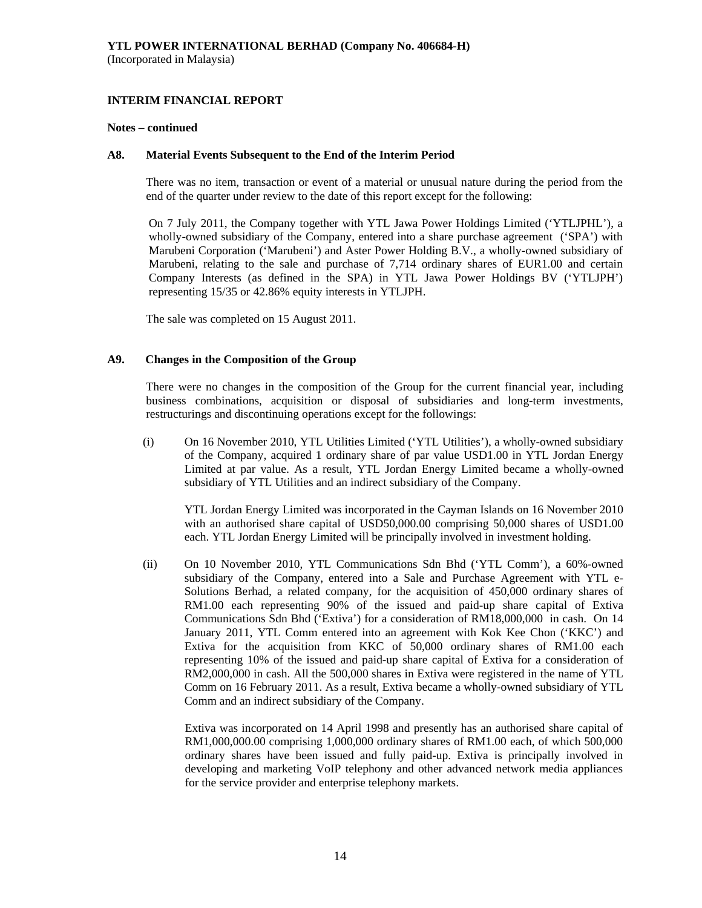#### **Notes – continued**

#### **A8. Material Events Subsequent to the End of the Interim Period**

There was no item, transaction or event of a material or unusual nature during the period from the end of the quarter under review to the date of this report except for the following:

On 7 July 2011, the Company together with YTL Jawa Power Holdings Limited ('YTLJPHL'), a wholly-owned subsidiary of the Company, entered into a share purchase agreement ('SPA') with Marubeni Corporation ('Marubeni') and Aster Power Holding B.V., a wholly-owned subsidiary of Marubeni, relating to the sale and purchase of 7,714 ordinary shares of EUR1.00 and certain Company Interests (as defined in the SPA) in YTL Jawa Power Holdings BV ('YTLJPH') representing 15/35 or 42.86% equity interests in YTLJPH.

The sale was completed on 15 August 2011.

### **A9. Changes in the Composition of the Group**

 There were no changes in the composition of the Group for the current financial year, including business combinations, acquisition or disposal of subsidiaries and long-term investments, restructurings and discontinuing operations except for the followings:

(i) On 16 November 2010, YTL Utilities Limited ('YTL Utilities'), a wholly-owned subsidiary of the Company, acquired 1 ordinary share of par value USD1.00 in YTL Jordan Energy Limited at par value. As a result, YTL Jordan Energy Limited became a wholly-owned subsidiary of YTL Utilities and an indirect subsidiary of the Company.

YTL Jordan Energy Limited was incorporated in the Cayman Islands on 16 November 2010 with an authorised share capital of USD50,000.00 comprising 50,000 shares of USD1.00 each. YTL Jordan Energy Limited will be principally involved in investment holding.

(ii) On 10 November 2010, YTL Communications Sdn Bhd ('YTL Comm'), a 60%-owned subsidiary of the Company, entered into a Sale and Purchase Agreement with YTL e-Solutions Berhad, a related company, for the acquisition of 450,000 ordinary shares of RM1.00 each representing 90% of the issued and paid-up share capital of Extiva Communications Sdn Bhd ('Extiva') for a consideration of RM18,000,000 in cash. On 14 January 2011, YTL Comm entered into an agreement with Kok Kee Chon ('KKC') and Extiva for the acquisition from KKC of 50,000 ordinary shares of RM1.00 each representing 10% of the issued and paid-up share capital of Extiva for a consideration of RM2,000,000 in cash. All the 500,000 shares in Extiva were registered in the name of YTL Comm on 16 February 2011. As a result, Extiva became a wholly-owned subsidiary of YTL Comm and an indirect subsidiary of the Company.

 Extiva was incorporated on 14 April 1998 and presently has an authorised share capital of RM1,000,000.00 comprising 1,000,000 ordinary shares of RM1.00 each, of which 500,000 ordinary shares have been issued and fully paid-up. Extiva is principally involved in developing and marketing VoIP telephony and other advanced network media appliances for the service provider and enterprise telephony markets.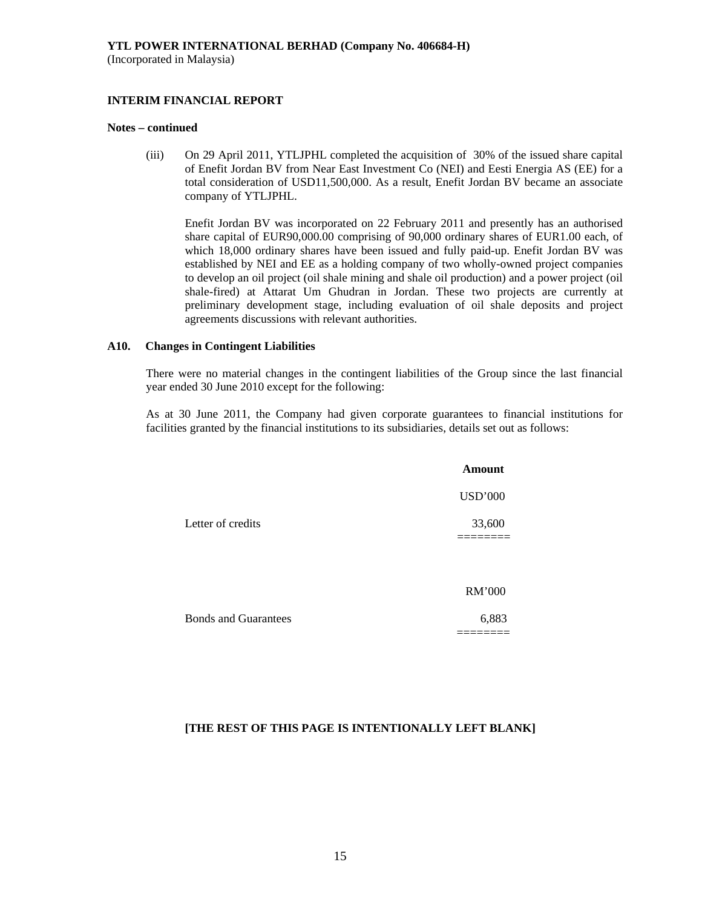### **INTERIM FINANCIAL REPORT**

#### **Notes – continued**

(iii) On 29 April 2011, YTLJPHL completed the acquisition of 30% of the issued share capital of Enefit Jordan BV from Near East Investment Co (NEI) and Eesti Energia AS (EE) for a total consideration of USD11,500,000. As a result, Enefit Jordan BV became an associate company of YTLJPHL.

Enefit Jordan BV was incorporated on 22 February 2011 and presently has an authorised share capital of EUR90,000.00 comprising of 90,000 ordinary shares of EUR1.00 each, of which 18,000 ordinary shares have been issued and fully paid-up. Enefit Jordan BV was established by NEI and EE as a holding company of two wholly-owned project companies to develop an oil project (oil shale mining and shale oil production) and a power project (oil shale-fired) at Attarat Um Ghudran in Jordan. These two projects are currently at preliminary development stage, including evaluation of oil shale deposits and project agreements discussions with relevant authorities.

#### **A10. Changes in Contingent Liabilities**

There were no material changes in the contingent liabilities of the Group since the last financial year ended 30 June 2010 except for the following:

As at 30 June 2011, the Company had given corporate guarantees to financial institutions for facilities granted by the financial institutions to its subsidiaries, details set out as follows:

|                             | <b>Amount</b>  |
|-----------------------------|----------------|
|                             | <b>USD'000</b> |
| Letter of credits           | 33,600         |
|                             | RM'000         |
| <b>Bonds and Guarantees</b> | 6,883          |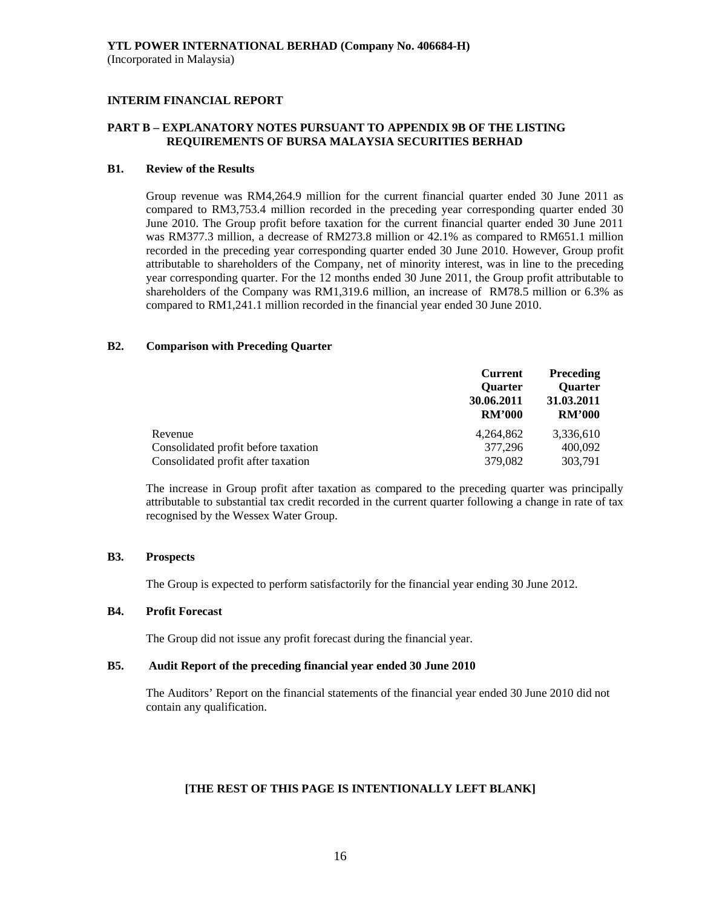### **PART B – EXPLANATORY NOTES PURSUANT TO APPENDIX 9B OF THE LISTING REQUIREMENTS OF BURSA MALAYSIA SECURITIES BERHAD**

### **B1. Review of the Results**

 Group revenue was RM4,264.9 million for the current financial quarter ended 30 June 2011 as compared to RM3,753.4 million recorded in the preceding year corresponding quarter ended 30 June 2010. The Group profit before taxation for the current financial quarter ended 30 June 2011 was RM377.3 million, a decrease of RM273.8 million or 42.1% as compared to RM651.1 million recorded in the preceding year corresponding quarter ended 30 June 2010. However, Group profit attributable to shareholders of the Company, net of minority interest, was in line to the preceding year corresponding quarter. For the 12 months ended 30 June 2011, the Group profit attributable to shareholders of the Company was RM1,319.6 million, an increase of RM78.5 million or 6.3% as compared to RM1,241.1 million recorded in the financial year ended 30 June 2010.

#### **B2. Comparison with Preceding Quarter**

|                                     | <b>Current</b><br><b>Ouarter</b><br>30.06.2011<br><b>RM'000</b> | <b>Preceding</b><br><b>Quarter</b><br>31.03.2011<br><b>RM'000</b> |
|-------------------------------------|-----------------------------------------------------------------|-------------------------------------------------------------------|
| Revenue                             | 4.264.862                                                       | 3,336,610                                                         |
| Consolidated profit before taxation | 377,296                                                         | 400,092                                                           |
| Consolidated profit after taxation  | 379,082                                                         | 303,791                                                           |

The increase in Group profit after taxation as compared to the preceding quarter was principally attributable to substantial tax credit recorded in the current quarter following a change in rate of tax recognised by the Wessex Water Group.

### **B3. Prospects**

The Group is expected to perform satisfactorily for the financial year ending 30 June 2012.

### **B4. Profit Forecast**

The Group did not issue any profit forecast during the financial year.

#### **B5. Audit Report of the preceding financial year ended 30 June 2010**

 The Auditors' Report on the financial statements of the financial year ended 30 June 2010 did not contain any qualification.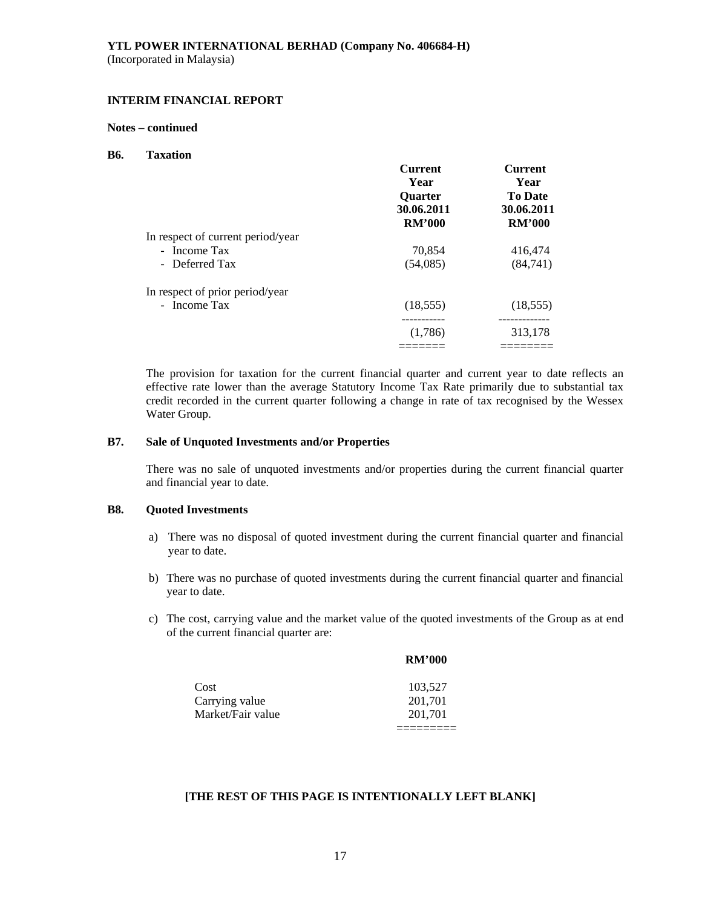### **INTERIM FINANCIAL REPORT**

#### **Notes – continued**

#### **B6. Taxation**

|                                   | <b>Current</b><br>Year<br><b>Ouarter</b> | Current<br>Year<br><b>To Date</b> |
|-----------------------------------|------------------------------------------|-----------------------------------|
|                                   | 30.06.2011<br><b>RM'000</b>              | 30.06.2011<br><b>RM'000</b>       |
| In respect of current period/year |                                          |                                   |
| - Income Tax                      | 70,854                                   | 416,474                           |
| - Deferred Tax                    | (54,085)                                 | (84,741)                          |
| In respect of prior period/year   |                                          |                                   |
| - Income Tax                      | (18, 555)                                | (18, 555)                         |
|                                   | ----------                               | ------------                      |
|                                   | (1,786)                                  | 313,178                           |
|                                   |                                          |                                   |

The provision for taxation for the current financial quarter and current year to date reflects an effective rate lower than the average Statutory Income Tax Rate primarily due to substantial tax credit recorded in the current quarter following a change in rate of tax recognised by the Wessex Water Group.

### **B7. Sale of Unquoted Investments and/or Properties**

There was no sale of unquoted investments and/or properties during the current financial quarter and financial year to date.

### **B8. Quoted Investments**

- a) There was no disposal of quoted investment during the current financial quarter and financial year to date.
- b) There was no purchase of quoted investments during the current financial quarter and financial year to date.
- c) The cost, carrying value and the market value of the quoted investments of the Group as at end of the current financial quarter are:

|                   | <b>RM'000</b> |
|-------------------|---------------|
| Cost              | 103,527       |
| Carrying value    | 201,701       |
| Market/Fair value | 201,701       |
|                   |               |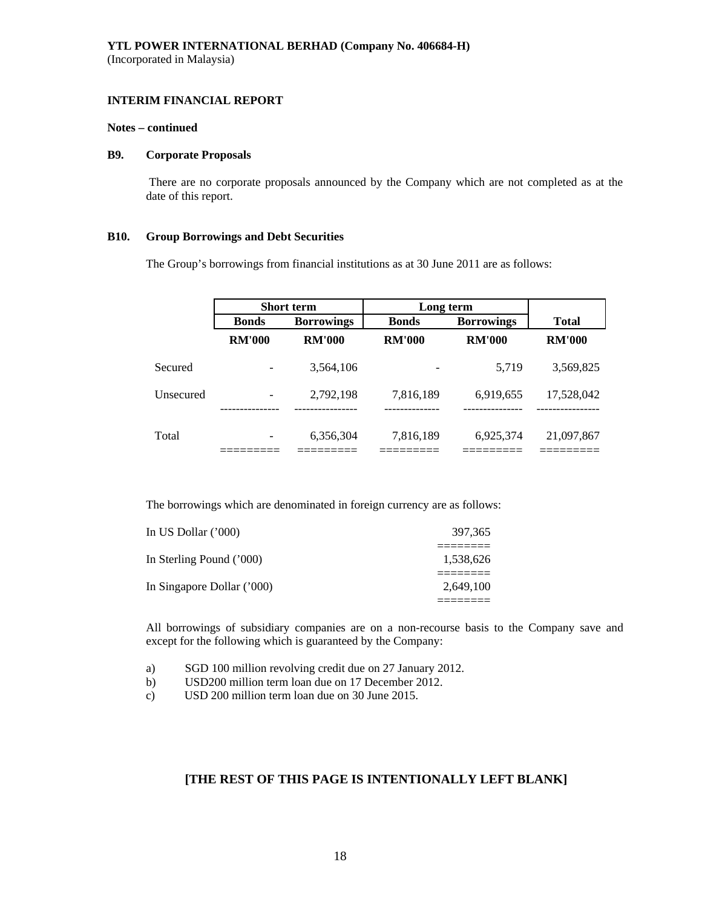#### **Notes – continued**

#### **B9. Corporate Proposals**

There are no corporate proposals announced by the Company which are not completed as at the date of this report.

#### **B10. Group Borrowings and Debt Securities**

The Group's borrowings from financial institutions as at 30 June 2011 are as follows:

|           | <b>Short term</b><br>Long term |                   |               |                   |               |
|-----------|--------------------------------|-------------------|---------------|-------------------|---------------|
|           | <b>Bonds</b>                   | <b>Borrowings</b> | <b>Bonds</b>  | <b>Borrowings</b> | <b>Total</b>  |
|           | <b>RM'000</b>                  | <b>RM'000</b>     | <b>RM'000</b> | <b>RM'000</b>     | <b>RM'000</b> |
| Secured   |                                | 3,564,106         |               | 5,719             | 3,569,825     |
| Unsecured |                                | 2,792,198         | 7,816,189     | 6,919,655         | 17,528,042    |
| Total     |                                | 6,356,304         | 7,816,189     | 6,925,374         | 21,097,867    |

The borrowings which are denominated in foreign currency are as follows:

| 397,365   | In US Dollar $(000)$       |
|-----------|----------------------------|
| 1,538,626 | In Sterling Pound ('000)   |
| 2.649.100 | In Singapore Dollar ('000) |

All borrowings of subsidiary companies are on a non-recourse basis to the Company save and except for the following which is guaranteed by the Company:

- a) SGD 100 million revolving credit due on 27 January 2012.
- b) USD200 million term loan due on 17 December 2012.
- c) USD 200 million term loan due on 30 June 2015.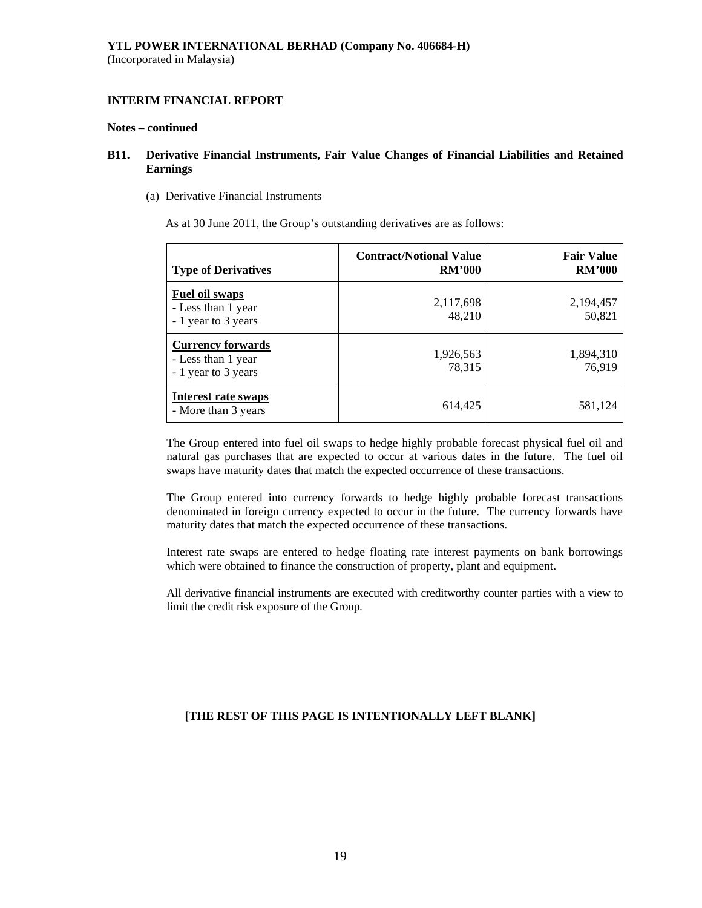#### **Notes – continued**

### **B11. Derivative Financial Instruments, Fair Value Changes of Financial Liabilities and Retained Earnings**

(a) Derivative Financial Instruments

As at 30 June 2011, the Group's outstanding derivatives are as follows:

| <b>Type of Derivatives</b>                                            | <b>Contract/Notional Value</b><br><b>RM'000</b> | <b>Fair Value</b><br><b>RM'000</b> |
|-----------------------------------------------------------------------|-------------------------------------------------|------------------------------------|
| <b>Fuel oil swaps</b><br>- Less than 1 year<br>- 1 year to 3 years    | 2,117,698<br>48,210                             | 2,194,457<br>50,821                |
| <b>Currency forwards</b><br>- Less than 1 year<br>- 1 year to 3 years | 1,926,563<br>78,315                             | 1,894,310<br>76,919                |
| Interest rate swaps<br>- More than 3 years                            | 614,425                                         | 581,124                            |

The Group entered into fuel oil swaps to hedge highly probable forecast physical fuel oil and natural gas purchases that are expected to occur at various dates in the future. The fuel oil swaps have maturity dates that match the expected occurrence of these transactions.

The Group entered into currency forwards to hedge highly probable forecast transactions denominated in foreign currency expected to occur in the future. The currency forwards have maturity dates that match the expected occurrence of these transactions.

Interest rate swaps are entered to hedge floating rate interest payments on bank borrowings which were obtained to finance the construction of property, plant and equipment.

All derivative financial instruments are executed with creditworthy counter parties with a view to limit the credit risk exposure of the Group.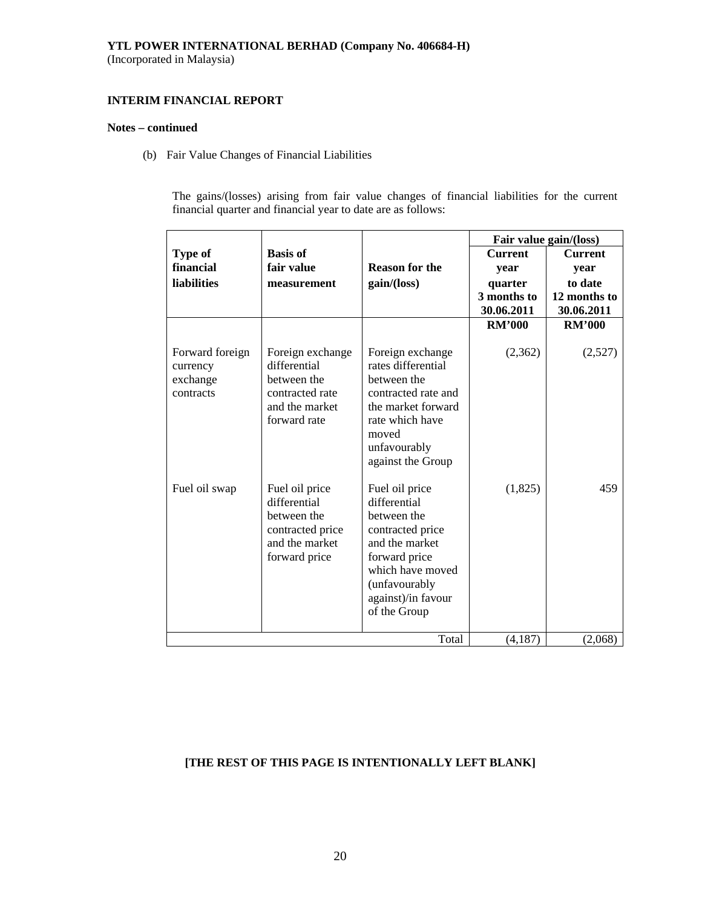### **YTL POWER INTERNATIONAL BERHAD (Company No. 406684-H)**

(Incorporated in Malaysia)

### **INTERIM FINANCIAL REPORT**

#### **Notes – continued**

(b) Fair Value Changes of Financial Liabilities

The gains/(losses) arising from fair value changes of financial liabilities for the current financial quarter and financial year to date are as follows:

|                                                      |                                                                                                      |                                                                                                                                                                                 |                | Fair value gain/(loss) |
|------------------------------------------------------|------------------------------------------------------------------------------------------------------|---------------------------------------------------------------------------------------------------------------------------------------------------------------------------------|----------------|------------------------|
| Type of                                              | <b>Basis of</b>                                                                                      |                                                                                                                                                                                 | <b>Current</b> | <b>Current</b>         |
| financial                                            | fair value                                                                                           | <b>Reason for the</b>                                                                                                                                                           | year           | year                   |
| <b>liabilities</b>                                   | measurement                                                                                          | gain/(loss)                                                                                                                                                                     | quarter        | to date                |
|                                                      |                                                                                                      |                                                                                                                                                                                 | 3 months to    | 12 months to           |
|                                                      |                                                                                                      |                                                                                                                                                                                 | 30.06.2011     | 30.06.2011             |
|                                                      |                                                                                                      |                                                                                                                                                                                 | <b>RM'000</b>  | <b>RM'000</b>          |
| Forward foreign<br>currency<br>exchange<br>contracts | Foreign exchange<br>differential<br>between the<br>contracted rate<br>and the market<br>forward rate | Foreign exchange<br>rates differential<br>between the<br>contracted rate and<br>the market forward<br>rate which have<br>moved<br>unfavourably<br>against the Group             | (2,362)        | (2,527)                |
| Fuel oil swap                                        | Fuel oil price<br>differential<br>between the<br>contracted price<br>and the market<br>forward price | Fuel oil price<br>differential<br>between the<br>contracted price<br>and the market<br>forward price<br>which have moved<br>(unfavourably<br>against)/in favour<br>of the Group | (1,825)        | 459                    |
|                                                      |                                                                                                      | Total                                                                                                                                                                           | (4,187)        | (2,068)                |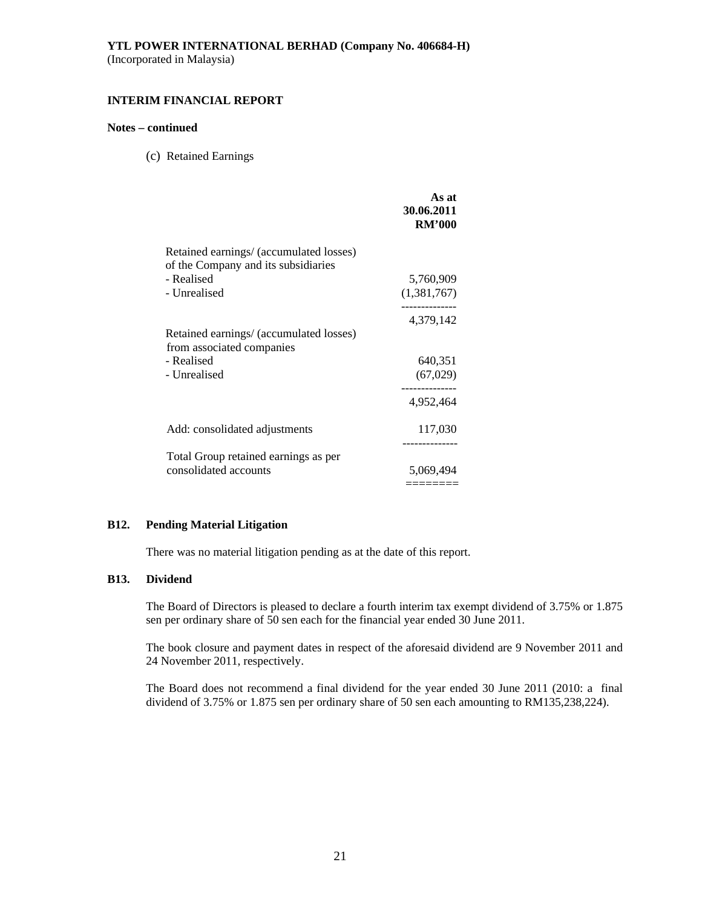### **INTERIM FINANCIAL REPORT**

### **Notes – continued**

(c) Retained Earnings

|                                                                                                              | As at<br>30.06.2011<br><b>RM'000</b> |
|--------------------------------------------------------------------------------------------------------------|--------------------------------------|
| Retained earnings/ (accumulated losses)<br>of the Company and its subsidiaries<br>- Realised<br>- Unrealised | 5,760,909<br>(1,381,767)             |
| Retained earnings/ (accumulated losses)<br>from associated companies                                         | 4,379,142                            |
| - Realised<br>- Unrealised                                                                                   | 640,351<br>(67, 029)                 |
|                                                                                                              | 4,952,464                            |
| Add: consolidated adjustments                                                                                | 117,030                              |
| Total Group retained earnings as per<br>consolidated accounts                                                | 5,069,494<br>======                  |

### **B12. Pending Material Litigation**

There was no material litigation pending as at the date of this report.

### **B13. Dividend**

The Board of Directors is pleased to declare a fourth interim tax exempt dividend of 3.75% or 1.875 sen per ordinary share of 50 sen each for the financial year ended 30 June 2011.

The book closure and payment dates in respect of the aforesaid dividend are 9 November 2011 and 24 November 2011, respectively.

The Board does not recommend a final dividend for the year ended 30 June 2011 (2010: a final dividend of 3.75% or 1.875 sen per ordinary share of 50 sen each amounting to RM135,238,224).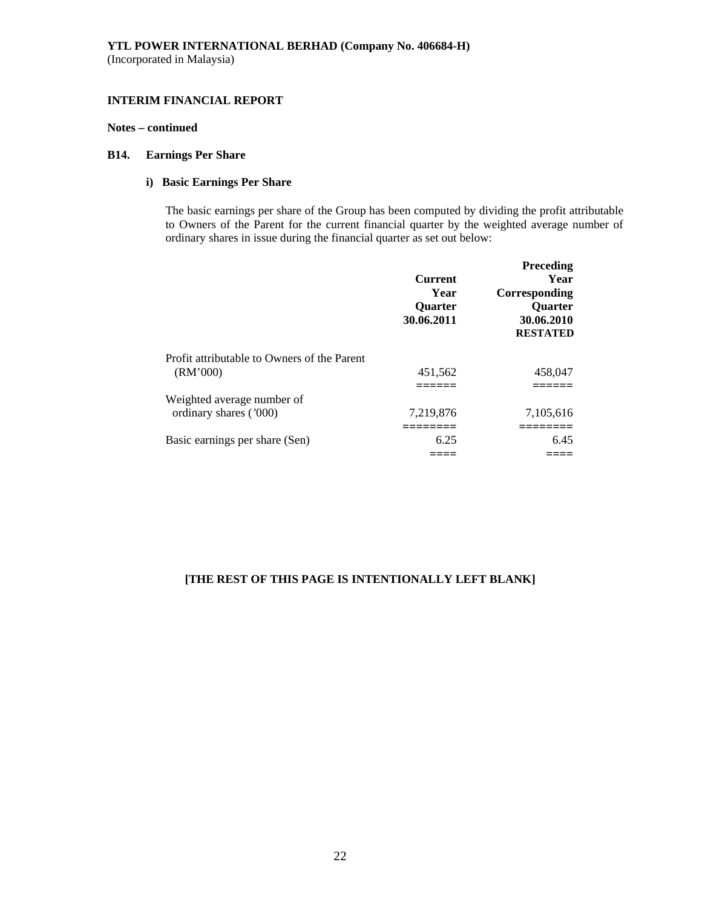### **Notes – continued**

### **B14. Earnings Per Share**

### **i) Basic Earnings Per Share**

The basic earnings per share of the Group has been computed by dividing the profit attributable to Owners of the Parent for the current financial quarter by the weighted average number of ordinary shares in issue during the financial quarter as set out below:

|                                             | <b>Current</b><br>Year<br><b>Ouarter</b><br>30.06.2011 | <b>Preceding</b><br>Year<br>Corresponding<br><b>Ouarter</b><br>30.06.2010<br><b>RESTATED</b> |
|---------------------------------------------|--------------------------------------------------------|----------------------------------------------------------------------------------------------|
| Profit attributable to Owners of the Parent |                                                        |                                                                                              |
| (RM'000)                                    | 451,562                                                | 458,047                                                                                      |
|                                             |                                                        |                                                                                              |
| Weighted average number of                  |                                                        |                                                                                              |
| ordinary shares ('000)                      | 7,219,876                                              | 7,105,616                                                                                    |
|                                             |                                                        |                                                                                              |
| Basic earnings per share (Sen)              | 6.25                                                   | 6.45                                                                                         |
|                                             |                                                        |                                                                                              |